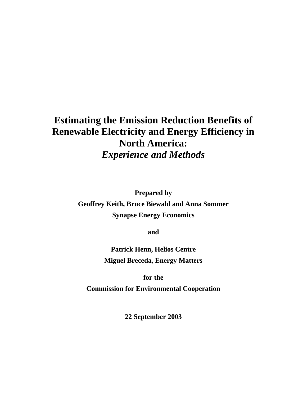# **Estimating the Emission Reduction Benefits of Renewable Electricity and Energy Efficiency in North America:**  *Experience and Methods*

**Prepared by Geoffrey Keith, Bruce Biewald and Anna Sommer Synapse Energy Economics** 

**and** 

**Patrick Henn, Helios Centre Miguel Breceda, Energy Matters** 

**for the** 

**Commission for Environmental Cooperation** 

**22 September 2003**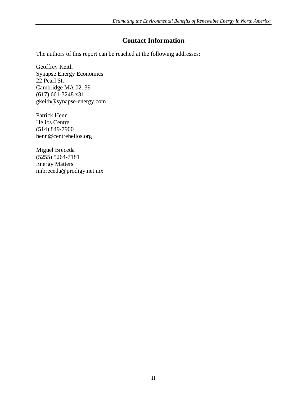# **Contact Information**

The authors of this report can be reached at the following addresses:

Geoffrey Keith Synapse Energy Economics 22 Pearl St. Cambridge MA 02139 (617) 661-3248 x31 [gkeith@synapse-energy.com](mailto:gkeith@synapse-energy.com)

Patrick Henn Helios Centre (514) 849-7900 [henn@centrehelios.org](mailto:sec@helioscentre.org)

Miguel Breceda (5255) 5264-7181 Energy Matters mibreceda@prodigy.net.mx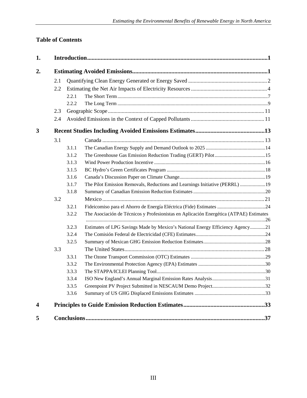# **Table of Contents**

| 2.1 |       |                                                                                        |  |
|-----|-------|----------------------------------------------------------------------------------------|--|
| 2.2 |       |                                                                                        |  |
|     | 2.2.1 |                                                                                        |  |
|     | 2.2.2 |                                                                                        |  |
| 2.3 |       |                                                                                        |  |
| 2.4 |       |                                                                                        |  |
|     |       |                                                                                        |  |
| 3.1 |       |                                                                                        |  |
|     | 3.1.1 |                                                                                        |  |
|     | 3.1.2 |                                                                                        |  |
|     | 3.1.3 |                                                                                        |  |
|     | 3.1.5 |                                                                                        |  |
|     | 3.1.6 |                                                                                        |  |
|     | 3.1.7 | The Pilot Emission Removals, Reductions and Learnings Initiative (PERRL) 19            |  |
|     | 3.1.8 |                                                                                        |  |
| 3.2 |       |                                                                                        |  |
|     | 3.2.1 |                                                                                        |  |
|     | 3.2.2 | The Asociación de Técnicos y Profesionistas en Aplicación Energética (ATPAE) Estimates |  |
|     | 3.2.3 | Estimates of LPG Savings Made by Mexico's National Energy Efficiency Agency21          |  |
|     | 3.2.4 |                                                                                        |  |
|     | 3.2.5 |                                                                                        |  |
| 3.3 |       |                                                                                        |  |
|     | 3.3.1 |                                                                                        |  |
|     | 3.3.2 |                                                                                        |  |
|     | 3.3.3 |                                                                                        |  |
|     | 3.3.4 |                                                                                        |  |
|     | 3.3.5 |                                                                                        |  |
|     | 3.3.6 |                                                                                        |  |
|     |       |                                                                                        |  |
|     |       |                                                                                        |  |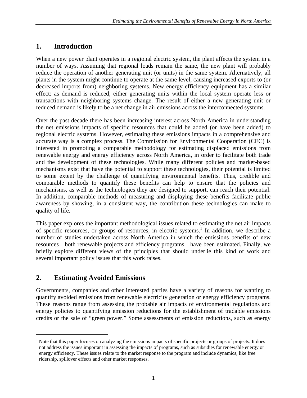# <span id="page-3-0"></span>**1. Introduction**

When a new power plant operates in a regional electric system, the plant affects the system in a number of ways. Assuming that regional loads remain the same, the new plant will probably reduce the operation of another generating unit (or units) in the same system. Alternatively, all plants in the system might continue to operate at the same level, causing increased exports to (or decreased imports from) neighboring systems. New energy efficiency equipment has a similar effect: as demand is reduced, either generating units within the local system operate less or transactions with neighboring systems change. The result of either a new generating unit or reduced demand is likely to be a net change in air emissions across the interconnected systems.

Over the past decade there has been increasing interest across North America in understanding the net emissions impacts of specific resources that could be added (or have been added) to regional electric systems. However, estimating these emissions impacts in a comprehensive and accurate way is a complex process. The Commission for Environmental Cooperation (CEC) is interested in promoting a comparable methodology for estimating displaced emissions from renewable energy and energy efficiency across North America, in order to facilitate both trade and the development of these technologies. While many different policies and market-based mechanisms exist that have the potential to support these technologies, their potential is limited to some extent by the challenge of quantifying environmental benefits. Thus, credible and comparable methods to quantify these benefits can help to ensure that the policies and mechanisms, as well as the technologies they are designed to support, can reach their potential. In addition, comparable methods of measuring and displaying these benefits facilitate public awareness by showing, in a consistent way, the contribution these technologies can make to quality of life.

This paper explores the important methodological issues related to estimating the net air impacts of specific resources, or groups of resources, in electric systems.<sup>1</sup> In addition, we describe a number of studies undertaken across North America in which the emissions benefits of new resources—both renewable projects and efficiency programs—have been estimated. Finally, we briefly explore different views of the principles that should underlie this kind of work and several important policy issues that this work raises.

# **2. Estimating Avoided Emissions**

 $\overline{a}$ 

Governments, companies and other interested parties have a variety of reasons for wanting to quantify avoided emissions from renewable electricity generation or energy efficiency programs. These reasons range from assessing the probable air impacts of environmental regulations and energy policies to quantifying emission reductions for the establishment of tradable emissions credits or the sale of "green power." Some assessments of emission reductions, such as energy

<sup>&</sup>lt;sup>1</sup> Note that this paper focuses on analyzing the emissions impacts of specific projects or groups of projects. It does not address the issues important in assessing the impacts of programs, such as subsidies for renewable energy or energy efficiency. These issues relate to the market response to the program and include dynamics, like free ridership, spillover effects and other market responses.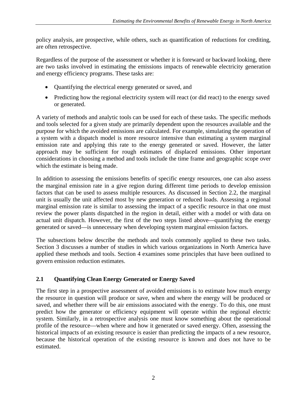<span id="page-4-0"></span>policy analysis, are prospective, while others, such as quantification of reductions for crediting, are often retrospective.

Regardless of the purpose of the assessment or whether it is foreward or backward looking, there are two tasks involved in estimating the emissions impacts of renewable electricity generation and energy efficiency programs. These tasks are:

- Quantifying the electrical energy generated or saved, and
- Predicting how the regional electricity system will react (or did react) to the energy saved or generated.

A variety of methods and analytic tools can be used for each of these tasks. The specific methods and tools selected for a given study are primarily dependent upon the resources available and the purpose for which the avoided emissions are calculated. For example, simulating the operation of a system with a dispatch model is more resource intensive than estimating a system marginal emission rate and applying this rate to the energy generated or saved. However, the latter approach may be sufficient for rough estimates of displaced emissions. Other important considerations in choosing a method and tools include the time frame and geographic scope over which the estimate is being made.

In addition to assessing the emissions benefits of specific energy resources, one can also assess the marginal emission rate in a give region during different time periods to develop emission factors that can be used to assess multiple resources. As discussed in Section 2.2, the marginal unit is usually the unit affected most by new generation or reduced loads. Assessing a regional marginal emission rate is similar to assessing the impact of a specific resource in that one must review the power plants dispatched in the region in detail, either with a model or with data on actual unit dispatch. However, the first of the two steps listed above—quantifying the energy generated or saved—is unnecessary when developing system marginal emission factors.

The subsections below describe the methods and tools commonly applied to these two tasks. Section 3 discusses a number of studies in which various organizations in North America have applied these methods and tools. Section 4 examines some principles that have been outlined to govern emission reduction estimates.

# **2.1 Quantifying Clean Energy Generated or Energy Saved**

The first step in a prospective assessment of avoided emissions is to estimate how much energy the resource in question will produce or save, when and where the energy will be produced or saved, and whether there will be air emissions associated with the energy. To do this, one must predict how the generator or efficiency equipment will operate within the regional electric system. Similarly, in a retrospective analysis one must know something about the operational profile of the resource—when where and how it generated or saved energy. Often, assessing the historical impacts of an existing resource is easier than predicting the impacts of a new resource, because the historical operation of the existing resource is known and does not have to be estimated.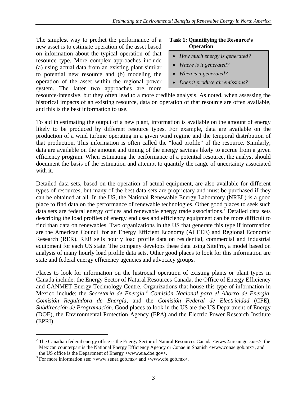The simplest way to predict the performance of a new asset is to estimate operation of the asset based on information about the typical operation of that resource type. More complex approaches include (a) using actual data from an existing plant similar to potential new resource and (b) modeling the operation of the asset within the regional power system. The latter two approaches are more

#### **Task 1: Quantifying the Resource's Operation**

- *How much energy is generated?*
- *Where is it generated?*
- *When is it generated?*
- *Does it produce air emissions?*

resource-intensive, but they often lead to a more credible analysis. As noted, when assessing the historical impacts of an existing resource, data on operation of that resource are often available, and this is the best information to use.

To aid in estimating the output of a new plant, information is available on the amount of energy likely to be produced by different resource types. For example, data are available on the production of a wind turbine operating in a given wind regime and the temporal distribution of that production. This information is often called the "load profile" of the resource. Similarly, data are available on the amount and timing of the energy savings likely to accrue from a given efficiency program. When estimating the performance of a potential resource, the analyst should document the basis of the estimation and attempt to quantify the range of uncertainty associated with it.

Detailed data sets, based on the operation of actual equipment, are also available for different types of resources, but many of the best data sets are proprietary and must be purchased if they can be obtained at all. In the US, the National Renewable Energy Laboratory (NREL) is a good place to find data on the performance of renewable technologies. Other good places to seek such data sets are federal energy offices and renewable energy trade associations.<sup>2</sup> Detailed data sets describing the load profiles of energy end uses and efficiency equipment can be more difficult to find than data on renewables. Two organizations in the US that generate this type if information are the American Council for an Energy Efficient Economy (ACEEE) and Regional Economic Research (RER). RER sells hourly load profile data on residential, commercial and industrial equipment for each US state. The company develops these data using SitePro, a model based on analysis of many hourly load profile data sets. Other good places to look for this information are state and federal energy efficiency agencies and advocacy groups.

Places to look for information on the histrocial operation of existing plants or plant types in Canada include: the Energy Sector of Natural Resources Canada, the Office of Energy Efficiency and CANMET Energy Technology Centre. Organizations that house this type of information in Mexico include: the *Secretaría de Energía*, <sup>3</sup> *Comisión Nacional para el Ahorro de Energía*, *Comisión Reguladora de Energía*, and the *Comisión Federal de Electricidad* (CFE), *Subdirección de Programación*. Good places to look in the US are the US Department of Energy (DOE), the Environmental Protection Agency (EPA) and the Electric Power Research Institute (EPRI).

1

<sup>&</sup>lt;sup>2</sup> The Canadian federal energy office is the Energy Sector of Natural Resources Canada <www2.nrcan.gc.ca/es>, the Mexican counterpart is the National Energy Efficiency Agency or Conae in Spanish <www.conae.gob.mx>, and the US office is the Department of Energy <www.eia.doe.gov>.

 $3$  For more information see:  $\langle$ www.sener.gob.mx> and  $\langle$ www.cfe.gob.mx>.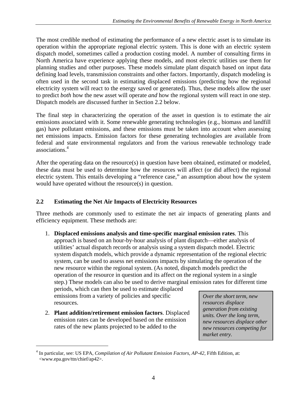<span id="page-6-0"></span>The most credible method of estimating the performance of a new electric asset is to simulate its operation within the appropriate regional electric system. This is done with an electric system dispatch model, sometimes called a production costing model. A number of consulting firms in North America have experience applying these models, and most electric utilities use them for planning studies and other purposes. These models simulate plant dispatch based on input data defining load levels, transmission constraints and other factors. Importantly, dispatch modeling is often used in the second task in estimating displaced emissions (predicting how the regional electricity system will react to the energy saved or generated). Thus, these models allow the user to predict *both* how the new asset will operate *and* how the regional system will react in one step. Dispatch models are discussed further in Section 2.2 below.

The final step in characterizing the operation of the asset in question is to estimate the air emissions associated with it. Some renewable generating technologies (e.g., biomass and landfill gas) have pollutant emissions, and these emissions must be taken into account when assessing net emissions impacts. Emission factors for these generating technologies are available from federal and state environmental regulators and from the various renewable technology trade associations. 4

After the operating data on the resource(s) in question have been obtained, estimated or modeled, these data must be used to determine how the resources will affect (or did affect) the regional electric system. This entails developing a "reference case," an assumption about how the system would have operated without the resource(s) in question.

# **2.2 Estimating the Net Air Impacts of Electricity Resources**

Three methods are commonly used to estimate the net air impacts of generating plants and efficiency equipment. These methods are:

1. **Displaced emissions analysis and time-specific marginal emission rates**. This approach is based on an hour-by-hour analysis of plant dispatch—either analysis of utilities' actual dispatch records or analysis using a system dispatch model. Electric system dispatch models, which provide a dynamic representation of the regional electric system, can be used to assess net emissions impacts by simulating the operation of the new resource within the regional system. (As noted, dispatch models predict the operation of the resource in question and its affect on the regional system in a single step.) These models can also be used to derive marginal emission rates for different time

periods, which can then be used to estimate displaced emissions from a variety of policies and specific resources.

2. **Plant addition/retirement emission factors**. Displaced emission rates can be developed based on the emission rates of the new plants projected to be added to the

 $\overline{a}$ 

*Over the short term, new resources displace generation from existing units. Over the long term, new resources displace other new resources competing for market entry.* 

<sup>4</sup> In particular, see: US EPA, *Compilation of Air Pollutant Emission Factors, AP-42*, Fifth Edition, at: <www.epa.gov/ttn/chief/ap42>.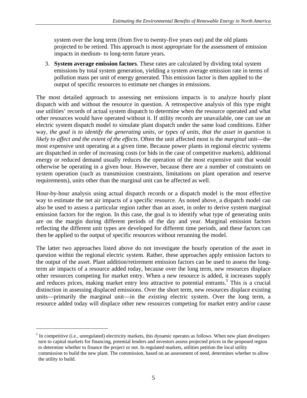system over the long term (from five to twenty-five years out) and the old plants projected to be retired. This approach is most appropriate for the assessment of emission impacts in medium- to long-term future years.

3. **System average emission factors**. These rates are calculated by dividing total system emissions by total system generation, yielding a system average emission rate in terms of pollution mass per unit of energy generated. This emission factor is then applied to the output of specific resources to estimate net changes in emissions.

The most detailed approach to assessing net emissions impacts is to analyze hourly plant dispatch with and without the resource in question. A retrospective analysis of this type might use utilities' records of actual system dispatch to determine when the resource operated and what other resources would have operated without it. If utility records are unavailable, one can use an electric system dispatch model to simulate plant dispatch under the same load conditions. Either way, *the goal is to identify the generating units, or types of units, that the asset in question is likely to affect and the extent of the effects.* Often the unit affected most is the *marginal* unit—the most expensive unit operating at a given time. Because power plants in regional electric systems are dispatched in order of increasing costs (or bids in the case of competitive markets), additional energy or reduced demand usually reduces the operation of the most expensive unit that would otherwise be operating in a given hour. However, because there are a number of constraints on system operation (such as transmission constraints, limitations on plant operation and reserve requirements), units other than the marginal unit can be affected as well.

Hour-by-hour analysis using actual dispatch records or a dispatch model is the most effective way to estimate the net air impacts of a specific resource. As noted above, a dispatch model can also be used to assess a particular region rather than an asset, in order to derive system marginal emission factors for the region. In this case, the goal is to identify what type of generating units are on the margin during different periods of the day and year. Marginal emission factors reflecting the different unit types are developed for different time periods, and these factors can then be applied to the output of specific resources without rerunning the model.

The latter two approaches listed above do not investigate the hourly operation of the asset in question within the regional electric system. Rather, these approaches apply emission factors to the output of the asset. Plant addition/retirement emission factors can be used to assess the longterm air impacts of a resource added today, because over the long term, new resources displace other resources competing for market entry. When a new resource is added, it increases supply and reduces prices, making market entry less attractive to potential entrants.<sup>5</sup> This is a crucial distinction in assessing displaced emissions. Over the short term, new resources displace existing units—primarily the marginal unit—in the *existing* electric system. Over the long term, a resource added today will displace other new resources competing for market entry and/or cause

 $<sup>5</sup>$  In competitive (i.e., unregulated) electricity markets, this dynamic operates as follows. When new plant developers</sup> turn to capital markets for financing, potential lenders and investors assess projected prices in the proposed region to determine whether to finance the project or not. In regulated markets, utilities petition the local utility commission to build the new plant. The commission, based on an assessment of need, determines whether to allow the utility to build.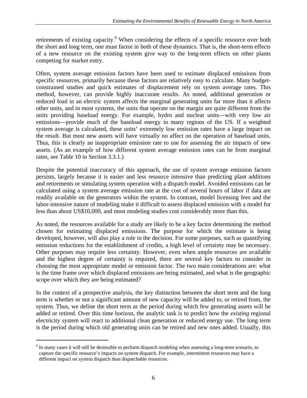retirements of existing capacity.<sup>6</sup> When considering the effects of a specific resource over both the short and long term, one must factor in both of these dynamics. That is, the short-term effects of a new resource on the existing system give way to the long-term effects on other plants competing for market entry.

Often, system average emission factors have been used to estimate displaced emissions from specific resources, primarily because these factors are relatively easy to calculate. Many budgetconstrained studies and quick estimates of displacement rely on system average rates. This method, however, can provide highly inaccurate results. As noted, additional generation or reduced load in an electric system affects the marginal generating units far more than it affects other units, and in most systems, the units that operate on the margin are quite different from the units providing baseload energy. For example, hydro and nuclear units—with very low air emissions—provide much of the baseload energy in many regions of the US. If a weighted system average is calculated, these units' extremely low emission rates have a large impact on the result. But most new assets will have virtually no affect on the operation of baseload units. Thus, this is clearly an inappropriate emission rate to use for assessing the air impacts of new assets. (As an example of how different system average emission rates can be from marginal rates, see Table 10 in Section 3.3.1.)

Despite the potential inaccuracy of this approach, the use of system average emission factors persists, largely because it is easier and less resource intensive than predicting plant additions and retirements or simulating system operation with a dispatch model. Avoided emissions can be calculated using a system average emission rate at the cost of several hours of labor if data are readily available on the generators within the system. In contrast, model licensing fees and the labor-intensive nature of modeling make it difficult to assess displaced emission with a model for less than about US\$10,000, and most modeling studies cost considerably more than this.

As noted, the resources available for a study are likely to be a key factor determining the method chosen for estimating displaced emissions. The purpose for which the estimate is being developed, however, will also play a role in the decision. For some purposes, such as quantifying emission reductions for the establishment of credits, a high level of certainty may be necessary. Other purposes may require less certainty. However, even when ample resources are available and the highest degree of certainty is required, there are several key factors to consider in choosing the most appropriate model or emission factor. The two main considerations are: what is the time frame over which displaced emissions are being estimated, and what is the geographic scope over which they are being estimated?

In the context of a prospective analysis, the key distinction between the short term and the long term is whether or not a significant amount of new capacity will be added to, or retired from, the system. Thus, we define the short term as the period during which few generating assets will be added or retired. Over this time horizon, the analytic task is to predict how the *existing* regional electricity system will react to additional clean generation or reduced energy use. The long term is the period during which old generating units can be retired and new ones added. Usually, this

<sup>&</sup>lt;sup>6</sup> In many cases it will still be desireable to perform dispatch modeling when assessing a long-term scenario, to capture the specific resource's impacts on system dispatch. For example, intermittent resources may have a different impact on system dispatch than dispatchable resources.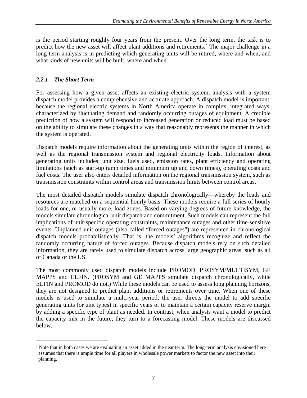<span id="page-9-0"></span>is the period starting roughly four years from the present. Over the long term, the task is to predict how the new asset will affect plant additions and retirements.<sup>7</sup> The major challenge in a long-term analysis is in predicting which generating units will be retired, where and when, and what kinds of new units will be built, where and when.

#### *2.2.1 The Short Term*

1

For assessing how a given asset affects an existing electric system, analysis with a system dispatch model provides a comprehensive and accurate approach. A dispatch model is important, because the regional electric systems in North America operate in complex, integrated ways, characterized by fluctuating demand and randomly occurring outages of equipment. A credible prediction of how a system will respond to increased generation or reduced load must be based on the ability to simulate these changes in a way that reasonably represents the manner in which the system is operated.

Dispatch models require information about the generating units within the region of interest, as well as the regional transmission system and regional electricity loads. Information about generating units includes: unit size, fuels used, emission rates, plant efficiency and operating limitations (such as start-up ramp times and minimum up and down times), operating costs and fuel costs. The user also enters detailed information on the regional transmission system, such as transmission constraints within control areas and transmission limits between control areas.

The most detailed dispatch models simulate dispatch chronologically—whereby the loads and resources are matched on a sequential hourly basis. These models require a full series of hourly loads for one, or usually more, load zones. Based on varying degrees of future knowledge, the models simulate chronological unit dispatch and commitment. Such models can represent the full implications of unit-specific operating constraints, maintenance outages and other time-sensitive events. Unplanned unit outages (also called "forced outages") are represented in chronological dispatch models probabilistically. That is, the models' algorithms recognize and reflect the randomly occurring nature of forced outages. Because dispatch models rely on such detailed information, they are rarely used to simulate dispatch across large geographic areas, such as all of Canada or the US.

The most commonly used dispatch models include PROMOD, PROSYM/MULTISYM, GE MAPPS and ELFIN. (PROSYM and GE MAPPS simulate dispatch chronologically, while ELFIN and PROMOD do not.) While these models can be used to assess long planning horizons, they are not designed to predict plant additions or retirements over time. When one of these models is used to simulate a multi-year period, the user directs the model to add specific generating units (or unit types) in specific years or to maintain a certain capacity reserve margin by adding a specific type of plant as needed. In contrast, when analysts want a model to predict the capacity mix in the future, they turn to a forecasting model. These models are discussed below.

 $<sup>7</sup>$  Note that in both cases we are evaluating an asset added in the near term. The long-term analysis envisioned here</sup> assumes that there is ample time for all players in wholesale power markets to factor the new asset into their planning.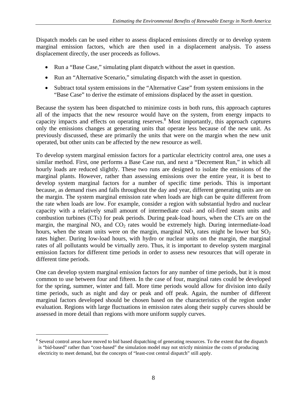Dispatch models can be used either to assess displaced emissions directly or to develop system marginal emission factors, which are then used in a displacement analysis. To assess displacement directly, the user proceeds as follows.

- Run a "Base Case," simulating plant dispatch without the asset in question.
- Run an "Alternative Scenario," simulating dispatch with the asset in question.
- Subtract total system emissions in the "Alternative Case" from system emissions in the "Base Case" to derive the estimate of emissions displaced by the asset in question.

Because the system has been dispatched to minimize costs in both runs, this approach captures all of the impacts that the new resource would have on the system, from energy impacts to capacity impacts and effects on operating reserves.<sup>8</sup> Most importantly, this approach captures only the emissions changes at generating units that operate less because of the new unit. As previously discussed, these are primarily the units that were on the margin when the new unit operated, but other units can be affected by the new resource as well.

To develop system marginal emission factors for a particular electricity control area, one uses a similar method. First, one performs a Base Case run, and next a "Decrement Run," in which all hourly loads are reduced slightly. These two runs are designed to isolate the emissions of the marginal plants. However, rather than assessing emissions over the entire year, it is best to develop system marginal factors for a number of specific time periods. This is important because, as demand rises and falls throughout the day and year, different generating units are on the margin. The system marginal emission rate when loads are high can be quite different from the rate when loads are low. For example, consider a region with substantial hydro and nuclear capacity with a relatively small amount of intermediate coal- and oil-fired steam units and combustion turbines (CTs) for peak periods. During peak-load hours, when the CTs are on the margin, the marginal  $NO<sub>x</sub>$  and  $CO<sub>2</sub>$  rates would be extremely high. During intermediate-load hours, when the steam units were on the margin, marginal  $NO<sub>x</sub>$  rates might be lower but  $SO<sub>2</sub>$ rates higher. During low-load hours, with hydro or nuclear units on the margin, the marginal rates of all pollutants would be virtually zero. Thus, it is important to develop system marginal emission factors for different time periods in order to assess new resources that will operate in different time periods.

One can develop system marginal emission factors for any number of time periods, but it is most common to use between four and fifteen. In the case of four, marginal rates could be developed for the spring, summer, winter and fall. More time periods would allow for division into daily time periods, such as night and day or peak and off peak. Again, the number of different marginal factors developed should be chosen based on the characteristics of the region under evaluation. Regions with large fluctuations in emission rates along their supply curves should be assessed in more detail than regions with more uniform supply curves.

<sup>&</sup>lt;sup>8</sup> Several control areas have moved to bid based dispatching of generating resources. To the extent that the dispatch is "bid-based" rather than "cost-based" the simulation model may not strictly minimize the costs of producing electricity to meet demand, but the concepts of "least-cost central dispatch" still apply.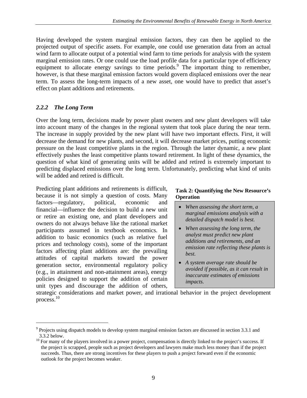<span id="page-11-0"></span>Having developed the system marginal emission factors, they can then be applied to the projected output of specific assets. For example, one could use generation data from an actual wind farm to allocate output of a potential wind farm to time periods for analysis with the system marginal emission rates. Or one could use the load profile data for a particular type of efficiency equipment to allocate energy savings to time periods.<sup>9</sup> The important thing to remember, however, is that these marginal emission factors would govern displaced emissions over the near term. To assess the long-term impacts of a new asset, one would have to predict that asset's effect on plant additions and retirements.

# *2.2.2 The Long Term*

 $\overline{a}$ 

Over the long term, decisions made by power plant owners and new plant developers will take into account many of the changes in the regional system that took place during the near term. The increase in supply provided by the new plant will have two important effects. First, it will decrease the demand for new plants, and second, it will decrease market prices, putting economic pressure on the least competitive plants in the region. Through the latter dynamic, a new plant effectively pushes the least competitive plants toward retirement. In light of these dynamics, the question of what kind of generating units will be added and retired is extremely important to predicting displaced emissions over the long term. Unfortunately, predicting what kind of units will be added and retired is difficult.

Predicting plant additions and retirements is difficult, because it is not simply a question of costs. Many factors—regulatory, political, economic and financial—influence the decision to build a new unit or retire an existing one, and plant developers and owners do not always behave like the rational market participants assumed in textbook economics. In addition to basic economics (such as relative fuel prices and technology costs), some of the important factors affecting plant additions are: the prevailing attitudes of capital markets toward the power generation sector, environmental regulatory policy (e.g., in attainment and non-attainment areas), energy policies designed to support the addition of certain unit types and discourage the addition of others,

#### **Task 2: Quantifying the New Resource's Operation**

- *When assessing the short term, a marginal emissions analysis with a detailed dispatch model is best.*
- *When assessing the long term, the analyst must predict new plant additions and retirements, and an emission rate reflecting these plants is best.*
- *A system average rate should be avoided if possible, as it can result in inaccurate estimates of emissions impacts.*

strategic considerations and market power, and irrational behavior in the project development process.10

 $9$  Projects using dispatch models to develop system marginal emission factors are discussed in section 3.3.1 and

<sup>3.3.2</sup> below.  $^{10}$  For many of the players involved in a power project, compensation is directly linked to the project's success. If the project is scrapped, people such as project developers and lawyers make much less money than if the project succeeds. Thus, there are strong incentives for these players to push a project forward even if the economic outlook for the project becomes weaker.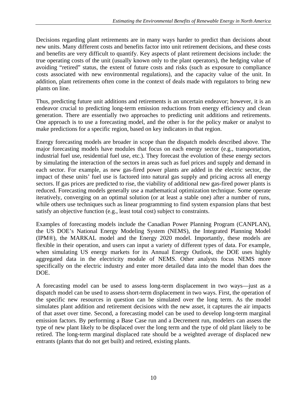Decisions regarding plant retirements are in many ways harder to predict than decisions about new units. Many different costs and benefits factor into unit retirement decisions, and these costs and benefits are very difficult to quantify. Key aspects of plant retirement decisions include: the true operating costs of the unit (usually known only to the plant operators), the hedging value of avoiding "retired" status, the extent of future costs and risks (such as exposure to compliance costs associated with new environmental regulations), and the capacity value of the unit. In addition, plant retirements often come in the context of deals made with regulators to bring new plants on line.

Thus, predicting future unit additions and retirements is an uncertain endeavor; however, it is an endeavor crucial to predicting long-term emission reductions from energy efficiency and clean generation. There are essentially two approaches to predicting unit additions and retirements. One approach is to use a forecasting model, and the other is for the policy maker or analyst to make predictions for a specific region, based on key indicators in that region.

Energy forecasting models are broader in scope than the dispatch models described above. The major forecasting models have modules that focus on each energy sector (e.g., transportation, industrial fuel use, residential fuel use, etc.). They forecast the evolution of these energy sectors by simulating the interaction of the sectors in areas such as fuel prices and supply and demand in each sector. For example, as new gas-fired power plants are added in the electric sector, the impact of these units' fuel use is factored into natural gas supply and pricing across all energy sectors. If gas prices are predicted to rise, the viability of additional new gas-fired power plants is reduced. Forecasting models generally use a mathematical optimization technique. Some operate iteratively, converging on an optimal solution (or at least a stable one) after a number of runs, while others use techniques such as linear programming to find system expansion plans that best satisfy an objective function (e.g., least total cost) subject to constraints.

Examples of forecasting models include the Canadian Power Planning Program (CANPLAN), the US DOE's National Energy Modeling System (NEMS), the Integrated Planning Model (IPM®), the MARKAL model and the Energy 2020 model. Importantly, these models are flexible in their operation, and users can input a variety of different types of data. For example, when simulating US energy markets for its Annual Energy Outlook, the DOE uses highly aggregated data in the electricity module of NEMS. Other analysts focus NEMS more specifically on the electric industry and enter more detailed data into the model than does the DOE.

A forecasting model can be used to assess long-term displacement in two ways—just as a dispatch model can be used to assess short-term displacement in two ways. First, the operation of the specific new resources in question can be simulated over the long term. As the model simulates plant addition and retirement decisions with the new asset, it captures the air impacts of that asset over time. Second, a forecasting model can be used to develop long-term marginal emission factors. By performing a Base Case run and a Decrement run, modelers can assess the type of new plant likely to be displaced over the long term and the type of old plant likely to be retired. The long-term marginal displaced rate should be a weighted average of displaced new entrants (plants that do not get built) and retired, existing plants.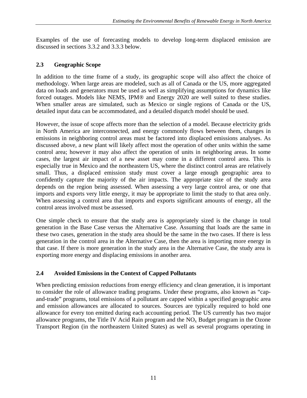<span id="page-13-0"></span>Examples of the use of forecasting models to develop long-term displaced emission are discussed in sections 3.3.2 and 3.3.3 below.

#### **2.3 Geographic Scope**

In addition to the time frame of a study, its geographic scope will also affect the choice of methodology. When large areas are modeled, such as all of Canada or the US, more aggregated data on loads and generators must be used as well as simplifying assumptions for dynamics like forced outages. Models like NEMS, IPM® and Energy 2020 are well suited to these studies. When smaller areas are simulated, such as Mexico or single regions of Canada or the US, detailed input data can be accommodated, and a detailed dispatch model should be used.

However, the issue of scope affects more than the selection of a model. Because electricity grids in North America are interconnected, and energy commonly flows between them, changes in emissions in neighboring control areas must be factored into displaced emissions analyses. As discussed above, a new plant will likely affect most the operation of other units within the same control area; however it may also affect the operation of units in neighboring areas. In some cases, the largest air impact of a new asset may come in a different control area. This is especially true in Mexico and the northeastern US, where the distinct control areas are relatively small. Thus, a displaced emission study must cover a large enough geographic area to confidently capture the majority of the air impacts. The appropriate size of the study area depends on the region being assessed. When assessing a very large control area, or one that imports and exports very little energy, it may be appropriate to limit the study to that area only. When assessing a control area that imports and exports significant amounts of energy, all the control areas involved must be assessed.

One simple check to ensure that the study area is appropriately sized is the change in total generation in the Base Case versus the Alternative Case. Assuming that loads are the same in these two cases, generation in the study area should be the same in the two cases. If there is less generation in the control area in the Alternative Case, then the area is importing more energy in that case. If there is more generation in the study area in the Alternative Case, the study area is exporting more energy and displacing emissions in another area.

# **2.4 Avoided Emissions in the Context of Capped Pollutants**

When predicting emission reductions from energy efficiency and clean generation, it is important to consider the role of allowance trading programs. Under these programs, also known as "capand-trade" programs, total emissions of a pollutant are capped within a specified geographic area and emission allowances are allocated to sources. Sources are typically required to hold one allowance for every ton emitted during each accounting period. The US currently has two major allowance programs, the Title IV Acid Rain program and the  $NO<sub>x</sub>$  Budget program in the Ozone Transport Region (in the northeastern United States) as well as several programs operating in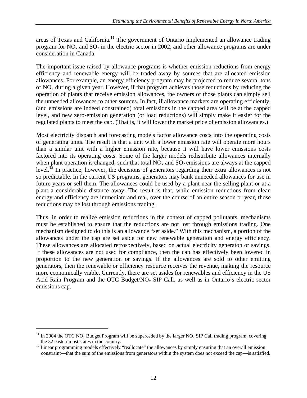areas of Texas and California.<sup>11</sup> The government of Ontario implemented an allowance trading program for  $NO<sub>x</sub>$  and  $SO<sub>2</sub>$  in the electric sector in 2002, and other allowance programs are under consideration in Canada.

The important issue raised by allowance programs is whether emission reductions from energy efficiency and renewable energy will be traded away by sources that are allocated emission allowances. For example, an energy efficiency program may be projected to reduce several tons of  $NO<sub>x</sub>$  during a given year. However, if that program achieves those reductions by reducing the operation of plants that receive emission allowances, the owners of those plants can simply sell the unneeded allowances to other sources. In fact, if allowance markets are operating efficiently, (and emissions are indeed constrained) total emissions in the capped area will be at the capped level, and new zero-emission generation (or load reductions) will simply make it easier for the regulated plants to meet the cap. (That is, it will lower the market price of emission allowances.)

Most electricity dispatch and forecasting models factor allowance costs into the operating costs of generating units. The result is that a unit with a lower emission rate will operate more hours than a similar unit with a higher emission rate, because it will have lower emissions costs factored into its operating costs. Some of the larger models redistribute allowances internally when plant operation is changed, such that total  $NO<sub>x</sub>$  and  $SO<sub>2</sub>$  emissions are always at the capped level.<sup>12</sup> In practice, however, the decisions of generators regarding their extra allowances is not so predictable. In the current US programs, generators may bank unneeded allowances for use in future years or sell them. The allowances could be used by a plant near the selling plant or at a plant a considerable distance away. The result is that, while emission reductions from clean energy and efficiency are immediate and real, over the course of an entire season or year, those reductions may be lost through emissions trading.

Thus, in order to realize emission reductions in the context of capped pollutants, mechanisms must be established to ensure that the reductions are not lost through emissions trading. One mechanism designed to do this is an allowance "set aside." With this mechanism, a portion of the allowances under the cap are set aside for new renewable generation and energy efficiency. These allowances are allocated retrospectively, based on actual electricity generaton or savings. If these allowances are not used for compliance, then the cap has effectively been lowered in proportion to the new generation or savings. If the allowances are sold to other emitting generators, then the renewable or efficiency resource receives the revenue, making the resource more economically viable. Currently, there are set asides for renewables and efficiency in the US Acid Rain Program and the OTC Budget/NO<sub>x</sub> SIP Call, as well as in Ontario's electric sector emissions cap.

1

<sup>&</sup>lt;sup>11</sup> In 2004 the OTC NO<sub>x</sub> Budget Program will be superceded by the larger NO<sub>x</sub> SIP Call trading program, covering the 32 easternmost states in the country.

 $12$  Linear programming models effectively "reallocate" the allowances by simply ensuring that an overall emission constraint—that the sum of the emissions from generators within the system does not exceed the cap—is satisfied.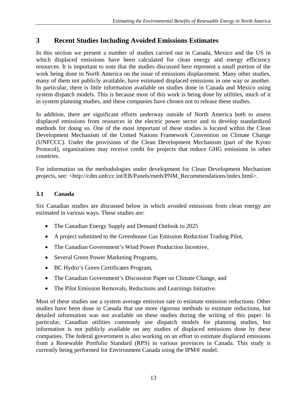# <span id="page-15-0"></span>**3 Recent Studies Including Avoided Emissions Estimates**

In this section we present a number of studies carried out in Canada, Mexico and the US in which displaced emissions have been calculated for clean energy and energy efficiency resources. It is important to note that the studies discussed here represent a small portion of the work being done in North America on the issue of emissions displacement. Many other studies, many of them not publicly available, have estimated displaced emissions in one way or another. In particular, there is little information available on studies done in Canada and Mexico using system dispatch models. This is because most of this work is being done by utilities, much of it in system planning studies, and these companies have chosen not to release these studies.

In addition, there are significant efforts underway outside of North America both to assess displaced emissions from resources in the electric power sector and to develop standardized methods for doing so. One of the most important of these studies is located within the Clean Development Mechanism of the United Nations Framework Convention on Climate Change (UNFCCC). Under the provisions of the Clean Development Mechanism (part of the Kyoto Protocol), organizations may receive credit for projects that reduce GHG emissions in other countries.

For information on the methodologies under development for Clean Development Mechanism projects, see: <http://cdm.unfccc.int/EB/Panels/meth/PNM\_Recommendations/index.html>.

#### **3.1 Canada**

Six Canadian studies are discussed below in which avoided emissions from clean energy are estimated in various ways. These studies are:

- The Canadian Energy Supply and Demand Outlook to 2025
- A project submitted to the Greenhouse Gas Emission Reduction Trading Pilot,
- The Canadian Government's Wind Power Production Incentive,
- Several Green Power Marketing Programs,
- BC Hydro's Green Certificates Program,
- The Canadian Government's Discussion Paper on Climate Change, and
- The Pilot Emission Removals, Reductions and Learnings Initiative.

Most of these studies use a system average emission rate to estimate emission reductions. Other studies have been done in Canada that use more rigorous methods to estimate reductions, but detailed information was not available on these studies during the writing of this paper. In particular, Canadian utilities commonly use dispatch models for planning studies, but information is not publicly available on any studies of displaced emissions done by these companies. The federal government is also working on an effort to estimate displaced emissions from a Renewable Portfolio Standard (RPS) in various provinces in Canada. This study is currently being performed for Environment Canada using the IPM® model.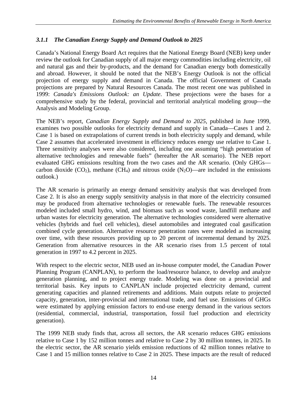# <span id="page-16-0"></span>*3.1.1 The Canadian Energy Supply and Demand Outlook to 2025*

Canada's National Energy Board Act requires that the National Energy Board (NEB) keep under review the outlook for Canadian supply of all major energy commodities including electricity, oil and natural gas and their by-products, and the demand for Canadian energy both domestically and abroad. However, it should be noted that the NEB's Energy Outlook is not the official projection of energy supply and demand in Canada. The official Government of Canada projections are prepared by Natural Resources Canada. The most recent one was published in 1999: *Canada's Emissions Outlook: an Update*. These projections were the bases for a comprehensive study by the federal, provincial and territorial analytical modeling group—the Analysis and Modeling Group.

The NEB's report, *Canadian Energy Supply and Demand to 2025*, published in June 1999, examines two possible outlooks for electricity demand and supply in Canada—Cases 1 and 2. Case 1 is based on extrapolations of current trends in both electricity supply and demand, while Case 2 assumes that accelerated investment in efficiency reduces energy use relative to Case 1. Three sensitivity analyses were also considered, including one assuming "high penetration of alternative technologies and renewable fuels" (hereafter the AR scenario). The NEB report evaluated GHG emissions resulting from the two cases and the AR scenario. (Only GHGs carbon dioxide  $(CO_2)$ , methane  $(CH_4)$  and nitrous oxide  $(N_2O)$ —are included in the emissions outlook.)

The AR scenario is primarily an energy demand sensitivity analysis that was developed from Case 2. It is also an energy supply sensitivity analysis in that more of the electricity consumed may be produced from alternative technologies or renewable fuels. The renewable resources modeled included small hydro, wind, and biomass such as wood waste, landfill methane and urban wastes for electricity generation. The alternative technologies considered were alternative vehicles (hybrids and fuel cell vehicles), diesel automobiles and integrated coal gasification combined cycle generation. Alternative resource penetration rates were modeled as increasing over time, with these resources providing up to 20 percent of incremental demand by 2025. Generation from alternative resources in the AR scenario rises from 1.5 percent of total generation in 1997 to 4.2 percent in 2025.

With respect to the electric sector, NEB used an in-house computer model, the Canadian Power Planning Program (CANPLAN), to perform the load/resource balance, to develop and analyze generation planning, and to project energy trade. Modeling was done on a provincial and territorial basis. Key inputs to CANPLAN include projected electricity demand, current generating capacities and planned retirements and additions. Main outputs relate to projected capacity, generation, inter-provincial and international trade, and fuel use. Emissions of GHGs were estimated by applying emission factors to end-use energy demand in the various sectors (residential, commercial, industrial, transportation, fossil fuel production and electricity generation).

The 1999 NEB study finds that, across all sectors, the AR scenario reduces GHG emissions relative to Case 1 by 152 million tonnes and relative to Case 2 by 30 million tonnes, in 2025. In the electric sector, the AR scenario yields emission reductions of 42 million tonnes relative to Case 1 and 15 million tonnes relative to Case 2 in 2025. These impacts are the result of reduced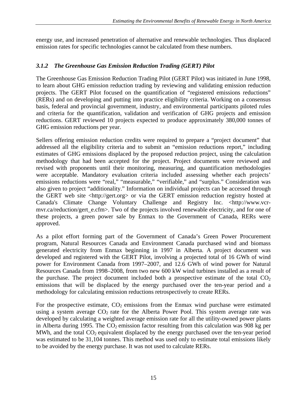<span id="page-17-0"></span>energy use, and increased penetration of alternative and renewable technologies. Thus displaced emission rates for specific technologies cannot be calculated from these numbers.

## *3.1.2 The Greenhouse Gas Emission Reduction Trading (GERT) Pilot*

The Greenhouse Gas Emission Reduction Trading Pilot (GERT Pilot) was initiated in June 1998, to learn about GHG emission reduction trading by reviewing and validating emission reduction projects. The GERT Pilot focused on the quantification of "registered emissions reductions" (RERs) and on developing and putting into practice eligibility criteria. Working on a consensus basis, federal and provincial government, industry, and environmental participants piloted rules and criteria for the quantification, validation and verification of GHG projects and emission reductions. GERT reviewed 10 projects expected to produce approximately 380,000 tonnes of GHG emission reductions per year.

Sellers offering emission reduction credits were required to prepare a "project document" that addressed all the eligibility criteria and to submit an "emission reductions report," including estimates of GHG emissions displaced by the proposed reduction project, using the calculation methodology that had been accepted for the project. Project documents were reviewed and revised with proponents until their monitoring, measuring, and quantification methodologies were acceptable. Mandatory evaluation criteria included assessing whether each projects' emissions reductions were "real," "measurable," "verifiable," and "surplus." Consideration was also given to project "additionality." Information on individual projects can be accessed through the GERT web site <http://gert.org> or via the GERT emission reduction registry hosted at Canada's Climate Change Voluntary Challenge and Registry Inc. <http://www.vcrmvr.ca/reduction/gert\_e.cfm>. Two of the projects involved renewable electricity, and for one of these projects, a green power sale by Enmax to the Government of Canada, RERs were approved.

As a pilot effort forming part of the Government of Canada's Green Power Procurement program, Natural Resources Canada and Environment Canada purchased wind and biomass generated electricity from Enmax beginning in 1997 in Alberta. A project document was developed and registered with the GERT Pilot, involving a projected total of 16 GWh of wind power for Environment Canada from 1997–2007, and 12.6 GWh of wind power for Natural Resources Canada from 1998–2008, from two new 600 kW wind turbines installed as a result of the purchase. The project document included both a prospective estimate of the total  $CO<sub>2</sub>$ emissions that will be displaced by the energy purchased over the ten-year period and a methodology for calculating emission reductions retrospectively to create RERs.

For the prospective estimate,  $CO<sub>2</sub>$  emissions from the Enmax wind purchase were estimated using a system average  $CO<sub>2</sub>$  rate for the Alberta Power Pool. This system average rate was developed by calculating a weighted average emission rate for all the utility-owned power plants in Alberta during 1995. The  $CO<sub>2</sub>$  emission factor resulting from this calculation was 908 kg per MWh, and the total  $CO<sub>2</sub>$  equivalent displaced by the energy purchased over the ten-year period was estimated to be 31,104 tonnes. This method was used only to estimate total emissions likely to be avoided by the energy purchase. It was not used to calculate RERs.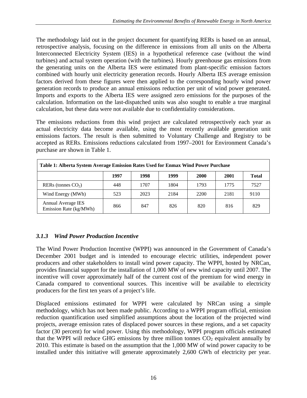<span id="page-18-0"></span>The methodology laid out in the project document for quantifying RERs is based on an annual, retrospective analysis, focusing on the difference in emissions from all units on the Alberta Interconnected Electricity System (IES) in a hypothetical reference case (without the wind turbines) and actual system operation (with the turbines). Hourly greenhouse gas emissions from the generating units on the Alberta IES were estimated from plant-specific emission factors combined with hourly unit electricity generation records. Hourly Alberta IES average emission factors derived from these figures were then applied to the corresponding hourly wind power generation records to produce an annual emissions reduction per unit of wind power generated. Imports and exports to the Alberta IES were assigned zero emissions for the purposes of the calculation. Information on the last-dispatched units was also sought to enable a true marginal calculation, but these data were not available due to confidentiality considerations.

The emissions reductions from this wind project are calculated retrospectively each year as actual electricity data become available, using the most recently available generation unit emissions factors. The result is then submitted to Voluntary Challenge and Registry to be accepted as RERs. Emissions reductions calculated from 1997–2001 for Environment Canada's purchase are shown in Table 1.

| Table 1: Alberta System Average Emission Rates Used for Enmax Wind Power Purchase |      |      |      |             |      |              |
|-----------------------------------------------------------------------------------|------|------|------|-------------|------|--------------|
|                                                                                   | 1997 | 1998 | 1999 | <b>2000</b> | 2001 | <b>Total</b> |
| RERs (tonnes $CO2$ )                                                              | 448  | 1707 | 1804 | 1793        | 1775 | 7527         |
| Wind Energy (MWh)                                                                 | 523  | 2023 | 2184 | 2200        | 2181 | 9110         |
| Annual Average IES<br>Emission Rate (kg/MWh)                                      | 866  | 847  | 826  | 820         | 816  | 829          |

# *3.1.3 Wind Power Production Incentive*

The Wind Power Production Incentive (WPPI) was announced in the Government of Canada's December 2001 budget and is intended to encourage electric utilities, independent power producers and other stakeholders to install wind power capacity. The WPPI, hosted by NRCan, provides financial support for the installation of 1,000 MW of new wind capacity until 2007. The incentive will cover approximately half of the current cost of the premium for wind energy in Canada compared to conventional sources. This incentive will be available to electricity producers for the first ten years of a project's life.

Displaced emissions estimated for WPPI were calculated by NRCan using a simple methodology, which has not been made public. According to a WPPI program official, emission reduction quantification used simplified assumptions about the location of the projected wind projects, average emission rates of displaced power sources in these regions, and a set capacity factor (30 percent) for wind power. Using this methodology, WPPI program officials estimated that the WPPI will reduce GHG emissions by three million tonnes  $CO<sub>2</sub>$  equivalent annually by 2010. This estimate is based on the assumption that the 1,000 MW of wind power capacity to be installed under this initiative will generate approximately 2,600 GWh of electricity per year.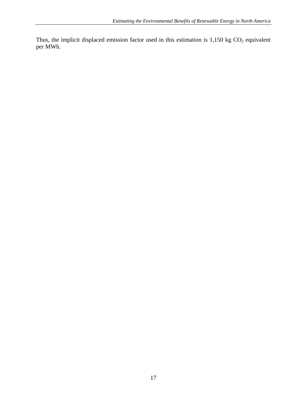Thus, the implicit displaced emission factor used in this estimation is  $1,150$  kg  $CO<sub>2</sub>$  equivalent per MWh.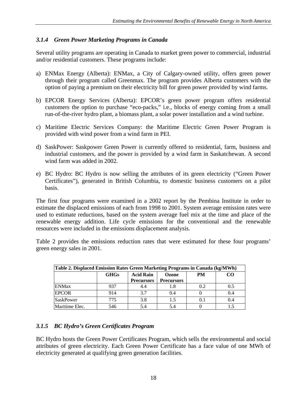# <span id="page-20-0"></span>*3.1.4 Green Power Marketing Programs in Canada*

Several utility programs are operating in Canada to market green power to commercial, industrial and/or residential customers. These programs include:

- a) ENMax Energy (Alberta): ENMax, a City of Calgary-owned utility, offers green power through their program called Greenmax. The program provides Alberta customers with the option of paying a premium on their electricity bill for green power provided by wind farms.
- b) EPCOR Energy Services (Alberta): EPCOR's green power program offers residential customers the option to purchase "eco-packs," i.e., blocks of energy coming from a small run-of-the-river hydro plant, a biomass plant, a solar power installation and a wind turbine.
- c) Maritime Electric Services Company: the Maritime Electric Green Power Program is provided with wind power from a wind farm in PEI.
- d) SaskPower: Saskpower Green Power is currently offered to residential, farm, business and industrial customers, and the power is provided by a wind farm in Saskatchewan. A second wind farm was added in 2002.
- e) BC Hydro: BC Hydro is now selling the attributes of its green electricity ("Green Power Certificates"), generated in British Columbia, to domestic business customers on a pilot basis.

The first four programs were examined in a 2002 report by the Pembina Institute in order to estimate the displaced emissions of each from 1998 to 2001. System average emission rates were used to estimate reductions, based on the system average fuel mix at the time and place of the renewable energy addition. Life cycle emissions for the conventional and the renewable resources were included in the emissions displacement analysis.

Table 2 provides the emissions reduction rates that were estimated for these four programs' green energy sales in 2001.

| Table 2. Displaced Emission Rates Green Marketing Programs in Canada (kg/MWh) |             |                                       |                            |           |       |  |
|-------------------------------------------------------------------------------|-------------|---------------------------------------|----------------------------|-----------|-------|--|
|                                                                               | <b>GHGs</b> | <b>Acid Rain</b><br><b>Precursors</b> | Ozone<br><b>Precursors</b> | <b>PM</b> | CO.   |  |
| <b>ENMax</b>                                                                  | 937         | 4.4                                   | 1.8                        | 0.2       | 0.5   |  |
| <b>EPCOR</b>                                                                  | 914         | 3.7                                   | 0.4                        |           | (0.4) |  |
| <b>SaskPower</b>                                                              | 775         | 3.8                                   | 1.5                        | 0.1       | 0.4   |  |
| Maritime Elec.                                                                | 546         | 5.4                                   | 5.4                        |           |       |  |

#### *3.1.5 BC Hydro's Green Certificates Program*

BC Hydro hosts the Green Power Certificates Program, which sells the environmental and social attributes of green electricity. Each Green Power Certificate has a face value of one MWh of electricity generated at qualifying green generation facilities.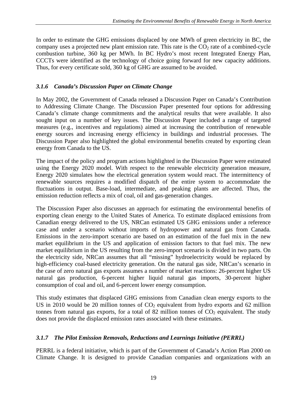<span id="page-21-0"></span>In order to estimate the GHG emissions displaced by one MWh of green electricity in BC, the company uses a projected new plant emission rate. This rate is the  $CO<sub>2</sub>$  rate of a combined-cycle combustion turbine, 360 kg per MWh. In BC Hydro's most recent Integrated Energy Plan, CCCTs were identified as the technology of choice going forward for new capacity additions. Thus, for every certificate sold, 360 kg of GHG are assumed to be avoided.

#### *3.1.6 Canada's Discussion Paper on Climate Change*

In May 2002, the Government of Canada released a Discussion Paper on Canada's Contribution to Addressing Climate Change. The Discussion Paper presented four options for addressing Canada's climate change commitments and the analytical results that were available. It also sought input on a number of key issues. The Discussion Paper included a range of targeted measures (e.g., incentives and regulations) aimed at increasing the contribution of renewable energy sources and increasing energy efficiency in buildings and industrial processes. The Discussion Paper also highlighted the global environmental benefits created by exporting clean energy from Canada to the US.

The impact of the policy and program actions highlighted in the Discussion Paper were estimated using the Energy 2020 model. With respect to the renewable electricity generation measure, Energy 2020 simulates how the electrical generation system would react. The intermittency of renewable sources requires a modified dispatch of the entire system to accommodate the fluctuations in output. Base-load, intermediate, and peaking plants are affected. Thus, the emission reduction reflects a mix of coal, oil and gas-generation changes.

The Discussion Paper also discusses an approach for estimating the environmental benefits of exporting clean energy to the United States of America. To estimate displaced emissions from Canadian energy delivered to the US, NRCan estimated US GHG emissions under a reference case and under a scenario without imports of hydropower and natural gas from Canada. Emissions in the zero-import scenario are based on an estimation of the fuel mix in the new market equilibrium in the US and application of emission factors to that fuel mix. The new market equilibrium in the US resulting from the zero-import scenario is divided in two parts. On the electricity side, NRCan assumes that all "missing" hydroelectricity would be replaced by high-efficiency coal-based electricity generation. On the natural gas side, NRCan's scenario in the case of zero natural gas exports assumes a number of market reactions: 26-percent higher US natural gas production, 6-percent higher liquid natural gas imports, 30-percent higher consumption of coal and oil, and 6-percent lower energy consumption.

This study estimates that displaced GHG emissions from Canadian clean energy exports to the US in 2010 would be 20 million tonnes of  $CO<sub>2</sub>$  equivalent from hydro exports and 62 million tonnes from natural gas exports, for a total of  $82$  million tonnes of  $CO<sub>2</sub>$  equivalent. The study does not provide the displaced emission rates associated with these estimates.

# *3.1.7 The Pilot Emission Removals, Reductions and Learnings Initiative (PERRL)*

PERRL is a federal initiative, which is part of the Government of Canada's Action Plan 2000 on Climate Change. It is designed to provide Canadian companies and organizations with an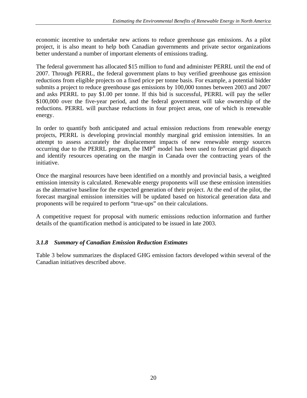<span id="page-22-0"></span>economic incentive to undertake new actions to reduce greenhouse gas emissions. As a pilot project, it is also meant to help both Canadian governments and private sector organizations better understand a number of important elements of emissions trading.

The federal government has allocated \$15 million to fund and administer PERRL until the end of 2007. Through PERRL, the federal government plans to buy verified greenhouse gas emission reductions from eligible projects on a fixed price per tonne basis. For example, a potential bidder submits a project to reduce greenhouse gas emissions by 100,000 tonnes between 2003 and 2007 and asks PERRL to pay \$1.00 per tonne. If this bid is successful, PERRL will pay the seller \$100,000 over the five-year period, and the federal government will take ownership of the reductions. PERRL will purchase reductions in four project areas, one of which is renewable energy.

In order to quantify both anticipated and actual emission reductions from renewable energy projects, PERRL is developing provincial monthly marginal grid emission intensities. In an attempt to assess accurately the displacement impacts of new renewable energy sources occurring due to the PERRL program, the IMP® model has been used to forecast grid dispatch and identify resources operating on the margin in Canada over the contracting years of the initiative.

Once the marginal resources have been identified on a monthly and provincial basis, a weighted emission intensity is calculated. Renewable energy proponents will use these emission intensities as the alternative baseline for the expected generation of their project. At the end of the pilot, the forecast marginal emission intensities will be updated based on historical generation data and proponents will be required to perform "true-ups" on their calculations.

A competitive request for proposal with numeric emissions reduction information and further details of the quantification method is anticipated to be issued in late 2003.

# *3.1.8 Summary of Canadian Emission Reduction Estimates*

Table 3 below summarizes the displaced GHG emission factors developed within several of the Canadian initiatives described above.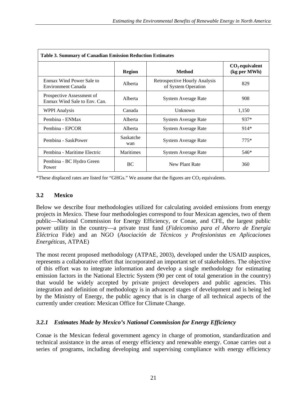<span id="page-23-0"></span>

| <b>Table 3. Summary of Canadian Emission Reduction Estimates</b> |                  |                                                      |                                  |  |  |
|------------------------------------------------------------------|------------------|------------------------------------------------------|----------------------------------|--|--|
|                                                                  | <b>Region</b>    | <b>Method</b>                                        | $CO2$ equivalent<br>(kg per MWh) |  |  |
| Enmax Wind Power Sale to<br><b>Environment Canada</b>            | Alberta          | Retrospective Hourly Analysis<br>of System Operation | 829                              |  |  |
| Prospective Assessment of<br>Enmax Wind Sale to Env. Can.        | Alberta          | <b>System Average Rate</b>                           | 908                              |  |  |
| <b>WPPI</b> Analysis                                             | Canada           | Unknown                                              | 1,150                            |  |  |
| Pembina - ENMax                                                  | Alberta          | System Average Rate                                  | $937*$                           |  |  |
| Pembina - EPCOR                                                  | Alberta          | System Average Rate                                  | $914*$                           |  |  |
| Pembina - SaskPower                                              | Saskatche<br>wan | <b>System Average Rate</b>                           | $775*$                           |  |  |
| Pembina - Maritime Electric                                      | <b>Maritimes</b> | System Average Rate                                  | 546*                             |  |  |
| Pembina - BC Hydro Green<br>Power                                | <b>BC</b>        | New Plant Rate                                       | 360                              |  |  |

\*These displaced rates are listed for "GHGs." We assume that the figures are  $CO<sub>2</sub>$  equivalents.

#### **3.2 Mexico**

Below we describe four methodologies utilized for calculating avoided emissions from energy projects in Mexico. These four methodologies correspond to four Mexican agencies, two of them public—National Commission for Energy Efficiency, or Conae, and CFE, the largest public power utility in the country—a private trust fund (*Fideicomiso para el Ahorro de Energía Eléctrica* Fide) and an NGO (*Asociación de Técnicos y Profesionistas en Aplicaciones Energéticas,* ATPAE)

The most recent proposed methodology (ATPAE, 2003), developed under the USAID auspices, represents a collaborative effort that incorporated an important set of stakeholders. The objective of this effort was to integrate information and develop a single methodology for estimating emission factors in the National Electric System (90 per cent of total generation in the country) that would be widely accepted by private project developers and public agencies. This integration and definition of methodology is in advanced stages of development and is being led by the Ministry of Energy, the public agency that is in charge of all technical aspects of the currently under creation: Mexican Office for Climate Change.

#### *3.2.1 Estimates Made by Mexico's National Commission for Energy Efficiency*

Conae is the Mexican federal government agency in charge of promotion, standardization and technical assistance in the areas of energy efficiency and renewable energy. Conae carries out a series of programs, including developing and supervising compliance with energy efficiency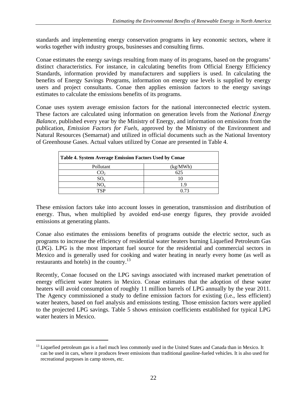standards and implementing energy conservation programs in key economic sectors, where it works together with industry groups, businesses and consulting firms.

Conae estimates the energy savings resulting from many of its programs, based on the programs' distinct characteristics. For instance, in calculating benefits from Official Energy Efficiency Standards, information provided by manufacturers and suppliers is used. In calculating the benefits of Energy Savings Programs, information on energy use levels is supplied by energy users and project consultants. Conae then applies emission factors to the energy savings estimates to calculate the emissions benefits of its programs.

Conae uses system average emission factors for the national interconnected electric system. These factors are calculated using information on generation levels from the *National Energy Balance*, published every year by the Ministry of Energy, and information on emissions from the publication, *Emission Factors for Fuels*, approved by the Ministry of the Environment and Natural Resources (Semarnat) and utilized in official documents such as the National Inventory of Greenhouse Gases. Actual values utilized by Conae are presented in Table 4.

| Table 4. System Average Emission Factors Used by Conae |          |  |  |  |
|--------------------------------------------------------|----------|--|--|--|
| Pollutant                                              | (kg/MWh) |  |  |  |
|                                                        | 625      |  |  |  |
| $SO_{x}$                                               |          |  |  |  |
| NO.                                                    | 1.9      |  |  |  |
| TSP                                                    | () 73    |  |  |  |

These emission factors take into account losses in generation, transmission and distribution of energy. Thus, when multiplied by avoided end-use energy figures, they provide avoided emissions at generating plants.

Conae also estimates the emissions benefits of programs outside the electric sector, such as programs to increase the efficiency of residential water heaters burning Liquefied Petroleum Gas (LPG). LPG is the most important fuel source for the residential and commercial sectors in Mexico and is generally used for cooking and water heating in nearly every home (as well as restaurants and hotels) in the country.<sup>13</sup>

Recently, Conae focused on the LPG savings associated with increased market penetration of energy efficient water heaters in Mexico. Conae estimates that the adoption of these water heaters will avoid consumption of roughly 11 million barrels of LPG annually by the year 2011. The Agency commissioned a study to define emission factors for existing (i.e., less efficient) water heaters, based on fuel analysis and emissions testing. Those emission factors were applied to the projected LPG savings. Table 5 shows emission coefficients established for typical LPG water heaters in Mexico.

<sup>&</sup>lt;sup>13</sup> Liquefied petroleum gas is a fuel much less commonly used in the United States and Canada than in Mexico. It can be used in cars, where it produces fewer emissions than traditional gasoline-fueled vehicles. It is also used for recreational purposes in camp stoves, etc.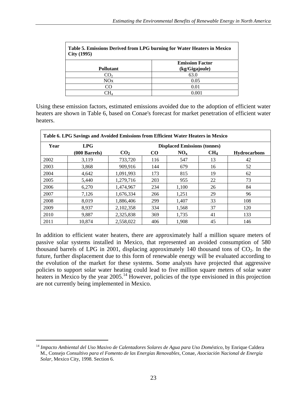| Table 5. Emissions Derived from LPG burning for Water Heaters in Mexico<br><b>City (1995)</b> |        |  |  |  |  |
|-----------------------------------------------------------------------------------------------|--------|--|--|--|--|
| <b>Emission Factor</b><br>(kg/Gigajoule)<br><b>Pollutant</b>                                  |        |  |  |  |  |
| CO <sub>2</sub>                                                                               | 63.0   |  |  |  |  |
| NOx                                                                                           | 0.05   |  |  |  |  |
| 0.01<br>സ                                                                                     |        |  |  |  |  |
|                                                                                               | 0 OO 1 |  |  |  |  |

Using these emission factors, estimated emissions avoided due to the adoption of efficient water heaters are shown in Table 6, based on Conae's forecast for market penetration of efficient water heaters.

|      | Table 6. LPG Savings and Avoided Emissions from Efficient Water Heaters in Mexico |                 |                                     |        |                 |                     |  |
|------|-----------------------------------------------------------------------------------|-----------------|-------------------------------------|--------|-----------------|---------------------|--|
| Year | <b>LPG</b>                                                                        |                 | <b>Displaced Emissions (tonnes)</b> |        |                 |                     |  |
|      | $(000$ Barrels $)$                                                                | CO <sub>2</sub> | $\bf CO$                            | $NO_x$ | CH <sub>4</sub> | <b>Hydrocarbons</b> |  |
| 2002 | 3.119                                                                             | 733,720         | 116                                 | 547    | 13              | 42                  |  |
| 2003 | 3,868                                                                             | 909,916         | 144                                 | 679    | 16              | 52                  |  |
| 2004 | 4.642                                                                             | 1.091.993       | 173                                 | 815    | 19              | 62                  |  |
| 2005 | 5.440                                                                             | 1,279,716       | 203                                 | 955    | 22              | 73                  |  |
| 2006 | 6,270                                                                             | 1,474,967       | 234                                 | 1,100  | 26              | 84                  |  |
| 2007 | 7,126                                                                             | 1,676,334       | 266                                 | 1,251  | 29              | 96                  |  |
| 2008 | 8.019                                                                             | 1,886,406       | 299                                 | 1.407  | 33              | 108                 |  |
| 2009 | 8.937                                                                             | 2.102.358       | 334                                 | 1,568  | 37              | 120                 |  |
| 2010 | 9.887                                                                             | 2,325,838       | 369                                 | 1,735  | 41              | 133                 |  |
| 2011 | 10.874                                                                            | 2.558,022       | 406                                 | 1.908  | 45              | 146                 |  |

In addition to efficient water heaters, there are approximately half a million square meters of passive solar systems installed in Mexico, that represented an avoided consumption of 580 thousand barrels of LPG in 2001, displacing approximately 140 thousand tons of  $CO<sub>2</sub>$ . In the future, further displacement due to this form of renewable energy will be evaluated according to the evolution of the market for these systems. Some analysts have projected that aggressive policies to support solar water heating could lead to five million square meters of solar water heaters in Mexico by the year 2005.<sup>14</sup> However, policies of the type envisioned in this projection are not currently being implemented in Mexico.

<sup>14</sup> *Impacto Ambiental del Uso Masivo de Calentadores Solares de Agua para Uso Doméstico*, by Enrique Caldera M., Consejo *Consultivo para el Fomento de las Energías Renovables*, Conae, *Asociación Nacional de Energía Solar*, Mexico City, 1998. Section 6.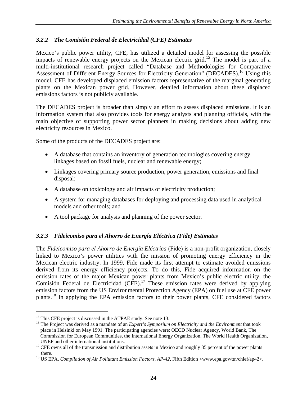# <span id="page-26-0"></span>*3.2.2 The Comisión Federal de Electricidad (CFE) Estimates*

Mexico's public power utility, CFE, has utilized a detailed model for assessing the possible impacts of renewable energy projects on the Mexican electric grid.<sup>15</sup> The model is part of a multi-institutional research project called "Database and Methodologies for Comparative Assessment of Different Energy Sources for Electricity Generation" (DECADES).<sup>16</sup> Using this model, CFE has developed displaced emission factors representative of the marginal generating plants on the Mexican power grid. However, detailed information about these displaced emissions factors is not publicly available.

The DECADES project is broader than simply an effort to assess displaced emissions. It is an information system that also provides tools for energy analysts and planning officials, with the main objective of supporting power sector planners in making decisions about adding new electricity resources in Mexico.

Some of the products of the DECADES project are:

- A database that contains an inventory of generation technologies covering energy linkages based on fossil fuels, nuclear and renewable energy;
- Linkages covering primary source production, power generation, emissions and final disposal;
- A database on toxicology and air impacts of electricity production;
- A system for managing databases for deploying and processing data used in analytical models and other tools; and
- A tool package for analysis and planning of the power sector.

# *3.2.3 Fideicomiso para el Ahorro de Energía Eléctrica (Fide) Estimates*

The *Fideicomiso para el Ahorro de Energía Eléctrica* (Fide) is a non-profit organization, closely linked to Mexico's power utilities with the mission of promoting energy efficiency in the Mexican electric industry. In 1999, Fide made its first attempt to estimate avoided emissions derived from its energy efficiency projects. To do this, Fide acquired information on the emission rates of the major Mexican power plants from Mexico's public electric utility, the Comisión Federal de Electricidad (CFE).<sup>17</sup> These emission rates were derived by applying emission factors from the US Environmental Protection Agency (EPA) on fuel use at CFE power plants.18 In applying the EPA emission factors to their power plants, CFE considered factors

<sup>&</sup>lt;sup>15</sup> This CFE project is discussed in the ATPAE study. See note 13.<br><sup>16</sup> The Project was derived as a mandate of an *Expert's Symposium on Electricity and the Environment* that took place in Helsinki on May 1991. The participating agencies were: OECD Nuclear Agency, World Bank, The Commission for European Communities, the International Energy Organization, The World Health Organization,

UNEP and other international institutions.<br><sup>17</sup> CFE owns all of the transmission and distribution assets in Mexico and roughly 85 percent of the power plants

there. 18 US EPA, *Compilation of Air Pollutant Emission Factors, AP-42*, Fifth Edition <www.epa.gov/ttn/chief/ap42>.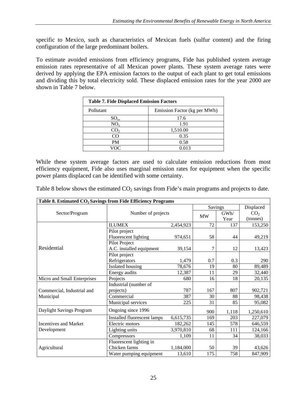specific to Mexico, such as characteristics of Mexican fuels (sulfur content) and the firing configuration of the large predominant boilers.

To estimate avoided emissions from efficiency programs, Fide has published system average emission rates representative of all Mexican power plants. These system average rates were derived by applying the EPA emission factors to the output of each plant to get total emissions and dividing this by total electricity sold. These displaced emission rates for the year 2000 are shown in Table 7 below.

| <b>Table 7. Fide Displaced Emission Factors</b> |                              |  |  |  |
|-------------------------------------------------|------------------------------|--|--|--|
| Pollutant                                       | Emission Factor (kg per MWh) |  |  |  |
| $SO_{x}$                                        | 17.6                         |  |  |  |
| $NO_{x}$                                        | 1.91                         |  |  |  |
| CO <sub>2</sub>                                 | 1,510.00                     |  |  |  |
| CO                                              | 0.35                         |  |  |  |
| PM                                              | 0.58                         |  |  |  |
| ഗല                                              | 0.013                        |  |  |  |

While these system average factors are used to calculate emission reductions from most efficiency equipment, Fide also uses marginal emission rates for equipment when the specific power plants displaced can be identified with some certainty.

| Table 8 below shows the estimated $CO2$ savings from Fide's main programs and projects to date. |  |
|-------------------------------------------------------------------------------------------------|--|
|-------------------------------------------------------------------------------------------------|--|

| Table 8. Estimated CO <sub>2</sub> Savings from Fide Efficiency Programs |                             |                |      |                 |           |
|--------------------------------------------------------------------------|-----------------------------|----------------|------|-----------------|-----------|
|                                                                          |                             | <b>Savings</b> |      | Displaced       |           |
| Sector/Program                                                           | Number of projects          | <b>MW</b>      | GWh/ | CO <sub>2</sub> |           |
|                                                                          |                             |                |      | Year            | (tonnes)  |
|                                                                          | <b>ILUMEX</b>               | 2,454,923      | 72   | 137             | 153,250   |
|                                                                          | Pilot project               |                |      |                 |           |
|                                                                          | Fluorescent lighting        | 974,651        | 58   | 44              | 49,219    |
|                                                                          | Pilot Project               |                |      |                 |           |
| Residential                                                              | A.C. installed equipment    | 39,154         | 7    | 12              | 13,423    |
|                                                                          | Pilot project               |                |      |                 |           |
|                                                                          | Refrigerators               | 1,479          | 0.7  | 0.3             | 290       |
|                                                                          | Isolated housing            | 78,676         | 19   | 80              | 89,489    |
|                                                                          | Energy audits               | 12,387         | 11   | 29              | 32,440    |
| Micro and Small Enterprises                                              | Projects                    | 680            | 16   | 18              | 20,135    |
|                                                                          | Industrial (number of       |                |      |                 |           |
| Commercial, Industrial and                                               | projects)                   | 787            | 167  | 807             | 902,721   |
| Municipal                                                                | Commercial                  | 387            | 30   | 88              | 98,438    |
|                                                                          | Municipal services          | 225            | 31   | 85              | 95,082    |
| Daylight Savings Program                                                 | Ongoing since 1996          |                | 900  | 1,118           | 1,250,610 |
|                                                                          | Installed fluorescent lamps | 6,615,735      | 169  | 203             | 227,079   |
| Incentives and Market                                                    | Electric motors             | 182,262        | 145  | 578             | 646,559   |
| Development                                                              | Lighting units              | 3,970,810      | 68   | 111             | 124,166   |
|                                                                          | Compressors                 | 1,109          | 11   | 34              | 38,033    |
|                                                                          | Fluorescent lighting in     |                |      |                 |           |
| Agricultural                                                             | Chicken farms               | 1,184,000      | 50   | 39              | 43,626    |
|                                                                          | Water pumping equipment     | 13,610         | 175  | 758             | 847,909   |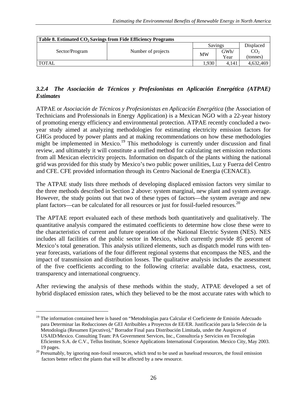<span id="page-28-0"></span>

| Table 8. Estimated CO <sub>2</sub> Savings from Fide Efficiency Programs |                    |           |           |                 |  |
|--------------------------------------------------------------------------|--------------------|-----------|-----------|-----------------|--|
|                                                                          |                    | Savings   |           | Displaced       |  |
| Sector/Program                                                           | Number of projects | <b>MW</b> | GWh/      | CO <sub>2</sub> |  |
|                                                                          |                    |           | Year      | (tonnes)        |  |
| <b>TOTAL</b>                                                             | .930               | 4.141     | 4,632,469 |                 |  |

# *3.2.4 The Asociación de Técnicos y Profesionistas en Aplicación Energética (ATPAE) Estimates*

ATPAE or *Asociación de Técnicos y Profesionistas en Aplicación Energética* (the Association of Technicians and Professionals in Energy Application) is a Mexican NGO with a 22-year history of promoting energy efficiency and environmental protection. ATPAE recently concluded a twoyear study aimed at analyzing methodologies for estimating electricity emission factors for GHGs produced by power plants and at making recommendations on how these methodologies might be implemented in Mexico.<sup>19</sup> This methodology is currently under discussion and final review, and ultimately it will constitute a unified method for calculating net emission reductions from all Mexican electricity projects. Information on dispatch of the plants withing the national grid was provided for this study by Mexico's two public power unilities, Luz y Fuerza del Centro and CFE. CFE provided information through its Centro Nacional de Energia (CENACE).

The ATPAE study lists three methods of developing displaced emission factors very similar to the three methods described in Section 2 above: system marginal, new plant and system average. However, the study points out that two of these types of factors—the system average and new plant factors—can be calculated for all resources or just for fossil-fueled resources.<sup>20</sup>

The APTAE report evaluated each of these methods both quantitatively and qualitatively. The quantitative analysis compared the estimated coefficients to determine how close these were to the characteristics of current and future operation of the National Electric System (NES). NES includes all facilities of the public sector in Mexico, which currently provide 85 percent of Mexico's total generation. This analysis utilized elements, such as dispatch model runs with tenyear forecasts, variations of the four different regional systems that encompass the NES, and the impact of transmission and distribution losses. The qualitative analysis includes the assessment of the five coefficients according to the following criteria: available data, exactness, cost, transparency and international congruency.

After reviewing the analysis of these methods within the study, ATPAE developed a set of hybrid displaced emission rates, which they believed to be the most accurate rates with which to

<sup>&</sup>lt;sup>19</sup> The information contained here is based on "Metodologías para Calcular el Coeficiente de Emisión Adecuado para Determinar las Reducciones de GEI Atribuibles a Proyectos de EE/ER. Justificación para la Selección de la Metodología (Resumen Ejecutivo)," Borrador Final para Distribución Limitada, under the Auspices of USAID/Mexico. Consulting Team: PA Government Services, Inc., Consultoría y Servicios en Tecnologías Eficientes S.A. de C.V., Tellus Institute, Science Applications International Corporation. Mexico City, May 2003.

<sup>19</sup> pages.  $20$  Presumably, by ignoring non-fossil resources, which tend to be used as baseload resources, the fossil emission factors better reflect the plants that will be affected by a new resource.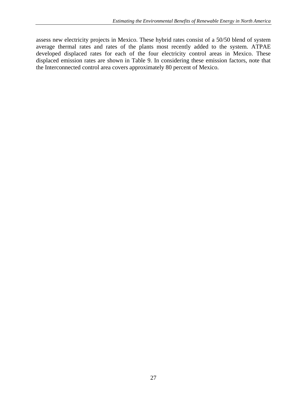assess new electricity projects in Mexico. These hybrid rates consist of a 50/50 blend of system average thermal rates and rates of the plants most recently added to the system. ATPAE developed displaced rates for each of the four electricity control areas in Mexico. These displaced emission rates are shown in Table 9. In considering these emission factors, note that the Interconnected control area covers approximately 80 percent of Mexico.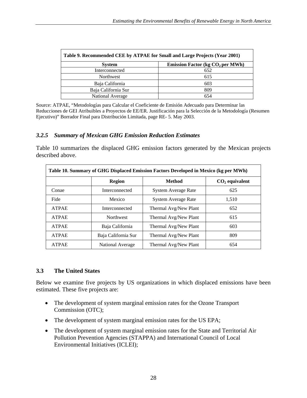<span id="page-30-0"></span>

| Table 9. Recommended CEE by ATPAE for Small and Large Projects (Year 2001) |                                    |  |  |  |  |
|----------------------------------------------------------------------------|------------------------------------|--|--|--|--|
| <b>System</b>                                                              | Emission Factor (kg $CO2$ per MWh) |  |  |  |  |
| Interconnected                                                             | 652                                |  |  |  |  |
| Northwest                                                                  | 615                                |  |  |  |  |
| Baja California                                                            | 603                                |  |  |  |  |
| Baja California Sur                                                        | 809                                |  |  |  |  |
| <b>National Average</b>                                                    | 654                                |  |  |  |  |

Source: ATPAE, "Metodologías para Calcular el Coeficiente de Emisión Adecuado para Determinar las Reducciones de GEI Atribuibles a Proyectos de EE/ER. Justificación para la Selección de la Metodología (Resumen Ejecutivo)" Borrador Final para Distribución Limitada, page RE- 5. May 2003.

#### *3.2.5 Summary of Mexican GHG Emission Reduction Estimates*

Table 10 summarizes the displaced GHG emission factors generated by the Mexican projects described above.

| Table 10. Summary of GHG Displaced Emission Factors Developed in Mexico (kg per MWh) |                         |                            |                  |  |  |
|--------------------------------------------------------------------------------------|-------------------------|----------------------------|------------------|--|--|
|                                                                                      | <b>Region</b>           | Method                     | $CO2$ equivalent |  |  |
| Conae                                                                                | Interconnected          | System Average Rate        | 625              |  |  |
| Fide                                                                                 | Mexico                  | <b>System Average Rate</b> | 1,510            |  |  |
| <b>ATPAE</b>                                                                         | Interconnected          | Thermal Avg/New Plant      | 652              |  |  |
| <b>ATPAE</b>                                                                         | <b>Northwest</b>        | Thermal Avg/New Plant      | 615              |  |  |
| <b>ATPAE</b>                                                                         | Baja California         | Thermal Avg/New Plant      | 603              |  |  |
| <b>ATPAE</b>                                                                         | Baja California Sur     | Thermal Avg/New Plant      | 809              |  |  |
| <b>ATPAE</b>                                                                         | <b>National Average</b> | Thermal Avg/New Plant      | 654              |  |  |

#### **3.3 The United States**

Below we examine five projects by US organizations in which displaced emissions have been estimated. These five projects are:

- The development of system marginal emission rates for the Ozone Transport Commission (OTC);
- The development of system marginal emission rates for the US EPA;
- The development of system marginal emission rates for the State and Territorial Air Pollution Prevention Agencies (STAPPA) and International Council of Local Environmental Initiatives (ICLEI);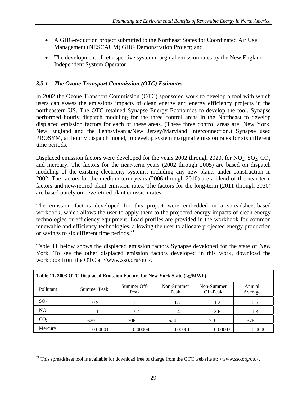- <span id="page-31-0"></span>• A GHG-reduction project submitted to the Northeast States for Coordinated Air Use Management (NESCAUM) GHG Demonstration Project; and
- The development of retrospective system marginal emission rates by the New England Independent System Operator.

# *3.3.1 The Ozone Transport Commission (OTC) Estimates*

In 2002 the Ozone Transport Commission (OTC) sponsored work to develop a tool with which users can assess the emissions impacts of clean energy and energy efficiency projects in the northeastern US. The OTC retained Synapse Energy Economics to develop the tool. Synapse performed hourly dispatch modeling for the three control areas in the Northeast to develop displaced emission factors for each of these areas. (These three control areas are: New York, New England and the Pennsylvania/New Jersey/Maryland Interconnection.) Synapse used PROSYM, an hourly dispatch model, to develop system marginal emission rates for six different time periods.

Displaced emission factors were developed for the years 2002 through 2020, for  $NO<sub>x</sub>$ ,  $SO<sub>2</sub>$ ,  $CO<sub>2</sub>$ and mercury. The factors for the near-term years (2002 through 2005) are based on dispatch modeling of the existing electricity systems, including any new plants under construction in 2002. The factors for the medium-term years (2006 through 2010) are a blend of the near-term factors and new/retired plant emission rates. The factors for the long-term (2011 through 2020) are based purely on new/retired plant emission rates.

The emission factors developed for this project were embedded in a spreadsheet-based workbook, which allows the user to apply them to the projected energy impacts of clean energy technologies or efficiency equipment. Load profiles are provided in the workbook for common renewable and efficiency technologies, allowing the user to allocate projected energy production or savings to six different time periods. $^{21}$ 

Table 11 below shows the displaced emission factors Synapse developed for the state of New York. To see the other displaced emission factors developed in this work, download the workbook from the OTC at <www.sso.org/otc>.

| Table 11. 2003 OTC Displaced Emission Factors for New York State (kg/MWh) |                    |                     |                    |                        |                   |
|---------------------------------------------------------------------------|--------------------|---------------------|--------------------|------------------------|-------------------|
| Pollutant                                                                 | <b>Summer Peak</b> | Summer Off-<br>Peak | Non-Summer<br>Peak | Non-Summer<br>Off-Peak | Annual<br>Average |
| SO <sub>2</sub>                                                           | 0.9                | 1.1                 | 0.8                | 1.2                    | 0.5               |
| $NO_{x}$                                                                  | 2.1                | 3.7                 | 1.4                | 3.6                    | 1.3               |
| CO <sub>2</sub>                                                           | 620                | 706                 | 624                | 710                    | 376               |
| Mercury                                                                   | 0.00001            | 0.00004             | 0.00001            | 0.00003                | 0.00001           |

<sup>&</sup>lt;sup>21</sup> This spreadsheet tool is available for download free of charge from the OTC web site at: <www.sso.org/otc>.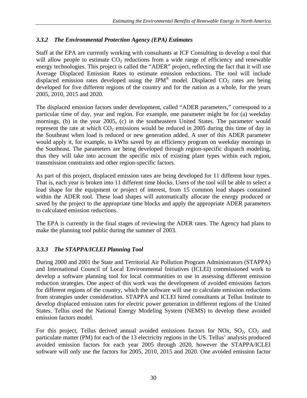# <span id="page-32-0"></span>*3.3.2 The Environmental Protection Agency (EPA) Estimates*

Staff at the EPA are currently working with consultants at ICF Consulting to develop a tool that will allow people to estimate  $CO<sub>2</sub>$  reductions from a wide range of efficiency and renewable energy technologies. This project is called the "ADER" project, reflecting the fact that it will use Average Displaced Emission Rates to estimate emission reductions. The tool will include displaced emission rates developed using the IPM<sup>®</sup> model. Displaced  $CO_2$  rates are being developed for five different regions of the country and for the nation as a whole, for the years 2005, 2010, 2015 and 2020.

The displaced emission factors under development, called "ADER parameters," correspond to a particular time of day, year and region. For example, one parameter might be for (a) weekday mornings, (b) in the year 2005, (c) in the southeastern United States. The parameter would represent the rate at which  $CO<sub>2</sub>$  emissions would be reduced in 2005 during this time of day in the Southeast when load is reduced or new generation added. A user of this ADER parameter would apply it, for example, to kWhs saved by an efficiency program on weekday mornings in the Southeast. The parameters are being developed through region-specific dispatch modeling, thus they will take into account the specific mix of existing plant types within each region, transmission constraints and other region-specific factors.

As part of this project, displaced emission rates are being developed for 11 different hour types. That is, each year is broken into 11 different time blocks. Users of the tool will be able to select a load shape for the equipment or project of interest, from 15 common load shapes contained within the ADER tool. These load shapes will automatically allocate the energy produced or saved by the project to the appropriate time blocks and apply the appropriate ADER parameters to calculated emission reductions.

The EPA is currently in the final stages of reviewing the ADER rates. The Agency had plans to make the planning tool public during the summer of 2003.

# *3.3.3 The STAPPA/ICLEI Planning Tool*

During 2000 and 2001 the State and Territorial Air Pollution Program Administrators (STAPPA) and International Council of Local Environmental Initiatives (ICLEI) commissioned work to develop a software planning tool for local communities to use in assessing different emission reduction strategies. One aspect of this work was the development of avoided emissions factors for different regions of the country, which the software will use to calculate emission reductions from strategies under consideration. STAPPA and ICLEI hired consultants at Tellus Institute to develop displaced emission rates for electric power generation in different regions of the United States. Tellus used the National Energy Modeling System (NEMS) to develop these avoided emission factors model.

For this project, Tellus derived annual avoided emissions factors for NOx,  $SO_2$ ,  $CO_2$  and particulate matter (PM) for each of the 13 electricity regions in the US. Tellus' analysis produced avoided emission factors for each year 2005 through 2020, however the STAPPA/ICLEI software will only use the factors for 2005, 2010, 2015 and 2020. One avoided emission factor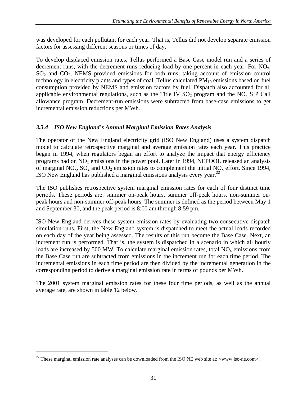<span id="page-33-0"></span>was developed for each pollutant for each year. That is, Tellus did not develop separate emission factors for assessing different seasons or times of day.

To develop displaced emission rates, Tellus performed a Base Case model run and a series of decrement runs, with the decrement runs reducing load by one percent in each year. For  $NO<sub>x</sub>$ ,  $SO<sub>2</sub>$  and  $CO<sub>2</sub>$ , NEMS provided emissions for both runs, taking account of emission control technology in electricity plants and types of coal. Tellus calculated  $PM_{10}$  emissions based on fuel consumption provided by NEMS and emission factors by fuel. Dispatch also accounted for all applicable environmental regulations, such as the Title IV  $SO_2$  program and the  $NO_x$  SIP Call allowance program. Decrement-run emissions were subtracted from base-case emissions to get incremental emission reductions per MWh.

# *3.3.4 ISO New England's Annual Marginal Emission Rates Analysis*

The operator of the New England electricity grid (ISO New England) uses a system dispatch model to calculate retrospective marginal and average emission rates each year. This practice began in 1994, when regulators began an effort to analyze the impact that energy efficiency programs had on  $NO_x$  emissions in the power pool. Later in 1994, NEPOOL released an analysis of marginal  $NO_x$ ,  $SO_2$  and  $CO_2$  emission rates to complement the initial  $NO_x$  effort. Since 1994, ISO New England has published a marginal emissions analysis every year. $^{22}$ 

The ISO publishes retrospective system marginal emission rates for each of four distinct time periods. These periods are: summer on-peak hours, summer off-peak hours, non-summer onpeak hours and non-summer off-peak hours. The summer is defined as the period between May 1 and September 30, and the peak period is 8:00 am through 8:59 pm.

ISO New England derives these system emission rates by evaluating two consecutive dispatch simulation runs. First, the New England system is dispatched to meet the actual loads recorded on each day of the year being assessed. The results of this run become the Base Case. Next, an increment run is performed. That is, the system is dispatched in a scenario in which all hourly loads are increased by 500 MW. To calculate marginal emission rates, total  $NO<sub>x</sub>$  emissions from the Base Case run are subtracted from emissions in the increment run for each time period. The incremental emissions in each time period are then divided by the incremental generation in the corresponding period to derive a marginal emission rate in terms of pounds per MWh.

The 2001 system marginal emission rates for these four time periods, as well as the annual average rate, are shown in table 12 below.

<sup>&</sup>lt;sup>22</sup> These marginal emission rate analyses can be downloaded from the ISO NE web site at: <www.iso-ne.com>.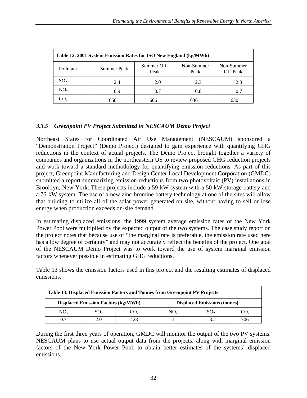<span id="page-34-0"></span>

| Table 12. 2001 System Emission Rates for ISO New England (kg/MWh) |                    |                     |                    |                        |  |
|-------------------------------------------------------------------|--------------------|---------------------|--------------------|------------------------|--|
| Pollutant                                                         | <b>Summer Peak</b> | Summer Off-<br>Peak | Non-Summer<br>Peak | Non-Summer<br>Off-Peak |  |
| SO <sub>2</sub>                                                   | 2.4                | 2.0                 | 2.3                | 2.3                    |  |
| $\rm NO_{v}$                                                      | 0.9                | 0.7                 | 0.8                | 0.7                    |  |
|                                                                   | 650                | 606                 | 636                | 630                    |  |

# *3.3.5 Greenpoint PV Project Submitted in NESCAUM Demo Project*

Northeast States for Coordinated Air Use Management (NESCAUM) sponsored a "Demonstration Project" (Demo Project) designed to gain experience with quantifying GHG reductions in the context of actual projects. The Demo Project brought together a variety of companies and organizations in the northeastern US to review proposed GHG reduction projects and work toward a standard methodology for quantifying emission reductions. As part of this project, Greenpoint Manufacturing and Design Center Local Development Corporation (GMDC) submitted a report summarizing emission reductions from two photovoltaic (PV) installations in Brooklyn, New York. These projects include a 59-kW system with a 50-kW storage battery and a 76-kW system. The use of a new zinc-bromine battery technology at one of the sites will allow that building to utilize all of the solar power generated on site, without having to sell or lose energy when production exceeds on-site demand.

In estimating displaced emissions, the 1999 system average emission rates of the New York Power Pool were multiplied by the expected output of the two systems. The case study report on the project notes that because use of "the marginal rate is preferable, the emission rate used here has a low degree of certainty" and may not accurately reflect the benefits of the project. One goal of the NESCAUM Demo Project was to work toward the use of system marginal emission factors whenever possible in estimating GHG reductions.

Table 13 shows the emission factors used in this project and the resulting estimates of displaced emissions.

| <b>Table 13. Displaced Emission Factors and Tonnes from Greenpoint PV Projects</b> |                 |     |                                     |                 |                 |
|------------------------------------------------------------------------------------|-----------------|-----|-------------------------------------|-----------------|-----------------|
| <b>Displaced Emission Factors (kg/MWh)</b>                                         |                 |     | <b>Displaced Emissions (tonnes)</b> |                 |                 |
| NO,                                                                                | SO <sub>2</sub> | CO2 | NO.                                 | SO <sub>2</sub> | CO <sub>2</sub> |
| 0.7                                                                                | 2.0             | 428 |                                     |                 | 706             |

During the first three years of operation, GMDC will monitor the output of the two PV systems. NESCAUM plans to use actual output data from the projects, along with marginal emission factors of the New York Power Pool, to obtain better estimates of the systems' displaced emissions.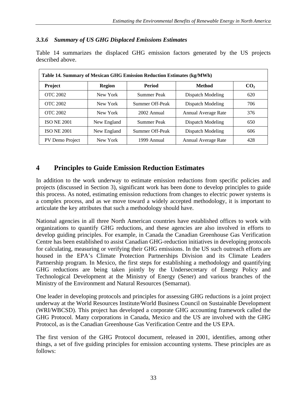# <span id="page-35-0"></span>*3.3.6 Summary of US GHG Displaced Emissions Estimates*

| Table 14. Summary of Mexican GHG Emission Reduction Estimates (kg/MWh) |               |                    |                     |                 |  |
|------------------------------------------------------------------------|---------------|--------------------|---------------------|-----------------|--|
| Project                                                                | <b>Region</b> | <b>Period</b>      | <b>Method</b>       | CO <sub>2</sub> |  |
| <b>OTC 2002</b>                                                        | New York      | <b>Summer Peak</b> | Dispatch Modeling   | 620             |  |
| <b>OTC 2002</b>                                                        | New York      | Summer Off-Peak    | Dispatch Modeling   | 706             |  |
| <b>OTC 2002</b>                                                        | New York      | $2002$ Annual      | Annual Average Rate | 376             |  |
| <b>ISO NE 2001</b>                                                     | New England   | <b>Summer Peak</b> | Dispatch Modeling   | 650             |  |
| <b>ISO NE 2001</b>                                                     | New England   | Summer Off-Peak    | Dispatch Modeling   | 606             |  |
| PV Demo Project                                                        | New York      | 1999 Annual        | Annual Average Rate | 428             |  |

Table 14 summarizes the displaced GHG emission factors generated by the US projects described above.

# **4 Principles to Guide Emission Reduction Estimates**

In addition to the work underway to estimate emission reductions from specific policies and projects (discussed in Section 3), significant work has been done to develop principles to guide this process. As noted, estimating emission reductions from changes to electric power systems is a complex process, and as we move toward a widely accepted methodology, it is important to articulate the key attributes that such a methodology should have.

National agencies in all three North American countries have established offices to work with organizations to quantify GHG reductions, and these agencies are also involved in efforts to develop guiding principles. For example, in Canada the Canadian Greenhouse Gas Verification Centre has been established to assist Canadian GHG-reduction initiatives in developing protocols for calculating, measuring or verifying their GHG emissions. In the US such outreach efforts are housed in the EPA's Climate Protection Partnerships Division and its Climate Leaders Partnership program. In Mexico, the first steps for establishing a methodology and quantifying GHG reductions are being taken jointly by the Undersecretary of Energy Policy and Technological Development at the Ministry of Energy (Sener) and various branches of the Ministry of the Environment and Natural Resources (Semarnat).

One leader in developing protocols and principles for assessing GHG reductions is a joint project underway at the World Resources Institute/World Business Council on Sustainable Development (WRI/WBCSD). This project has developed a corporate GHG accounting framework called the GHG Protocol. Many corporations in Canada, Mexico and the US are involved with the GHG Protocol, as is the Canadian Greenhouse Gas Verification Centre and the US EPA.

The first version of the GHG Protocol document, released in 2001, identifies, among other things, a set of five guiding principles for emission accounting systems. These principles are as follows: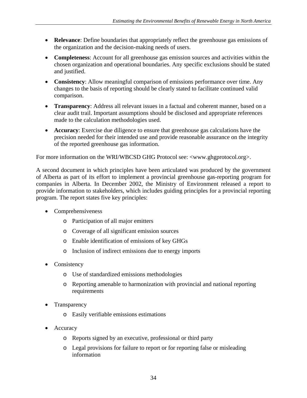- **Relevance**: Define boundaries that appropriately reflect the greenhouse gas emissions of the organization and the decision-making needs of users.
- **Completeness**: Account for all greenhouse gas emission sources and activities within the chosen organization and operational boundaries. Any specific exclusions should be stated and justified.
- **Consistency**: Allow meaningful comparison of emissions performance over time. Any changes to the basis of reporting should be clearly stated to facilitate continued valid comparison.
- **Transparency**: Address all relevant issues in a factual and coherent manner, based on a clear audit trail. Important assumptions should be disclosed and appropriate references made to the calculation methodologies used.
- **Accuracy**: Exercise due diligence to ensure that greenhouse gas calculations have the precision needed for their intended use and provide reasonable assurance on the integrity of the reported greenhouse gas information.

For more information on the WRI/WBCSD GHG Protocol see: <www.ghgprotocol.org>.

A second document in which principles have been articulated was produced by the government of Alberta as part of its effort to implement a provincial greenhouse gas-reporting program for companies in Alberta. In December 2002, the Ministry of Environment released a report to provide information to stakeholders, which includes guiding principles for a provincial reporting program. The report states five key principles:

- Comprehensiveness
	- o Participation of all major emitters
	- o Coverage of all significant emission sources
	- o Enable identification of emissions of key GHGs
	- o Inclusion of indirect emissions due to energy imports
- Consistency
	- o Use of standardized emissions methodologies
	- o Reporting amenable to harmonization with provincial and national reporting requirements
- Transparency
	- o Easily verifiable emissions estimations
- Accuracy
	- o Reports signed by an executive, professional or third party
	- o Legal provisions for failure to report or for reporting false or misleading information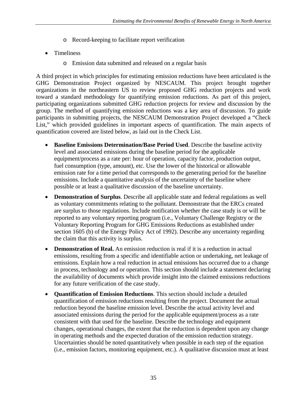- o Record-keeping to facilitate report verification
- Timeliness
	- o Emission data submitted and released on a regular basis

A third project in which principles for estimating emission reductions have been articulated is the GHG Demonstration Project organized by NESCAUM. This project brought together organizations in the northeastern US to review proposed GHG reduction projects and work toward a standard methodology for quantifying emission reductions. As part of this project, participating organizations submitted GHG reduction projects for review and discussion by the group. The method of quantifying emission reductions was a key area of discussion. To guide participants in submitting projects, the NESCAUM Demonstration Project developed a "Check List," which provided guidelines in important aspects of quantification. The main aspects of quantification covered are listed below, as laid out in the Check List.

- **Baseline Emissions Determination/Base Period Used**. Describe the baseline activity level and associated emissions during the baseline period for the applicable equipment/process as a rate per: hour of operation, capacity factor, production output, fuel consumption (type, amount), etc. Use the lower of the historical or allowable emission rate for a time period that corresponds to the generating period for the baseline emissions. Include a quantitative analysis of the uncertainty of the baseline where possible or at least a qualitative discussion of the baseline uncertainty.
- **Demonstration of Surplus**. Describe all applicable state and federal regulations as well as voluntary commitments relating to the pollutant. Demonstrate that the ERCs created are surplus to those regulations. Include notification whether the case study is or will be reported to any voluntary reporting program (i.e., Voluntary Challenge Registry or the Voluntary Reporting Program for GHG Emissions Reductions as established under section 1605 (b) of the Energy Policy Act of 1992). Describe any uncertainty regarding the claim that this activity is surplus.
- **Demonstration of Real.** An emission reduction is real if it is a reduction in actual emissions, resulting from a specific and identifiable action or undertaking, net leakage of emissions. Explain how a real reduction in actual emissions has occurred due to a change in process, technology and or operation. This section should include a statement declaring the availability of documents which provide insight into the claimed emissions reductions for any future verification of the case study.
- **Quantification of Emission Reductions**. This section should include a detailed quantification of emission reductions resulting from the project. Document the actual reduction beyond the baseline emission level. Describe the actual activity level and associated emissions during the period for the applicable equipment/process as a rate consistent with that used for the baseline. Describe the technology and equipment changes, operational changes, the extent that the reduction is dependent upon any change in operating methods and the expected duration of the emission reduction strategy. Uncertainties should be noted quantitatively when possible in each step of the equation (i.e., emission factors, monitoring equipment, etc.). A qualitative discussion must at least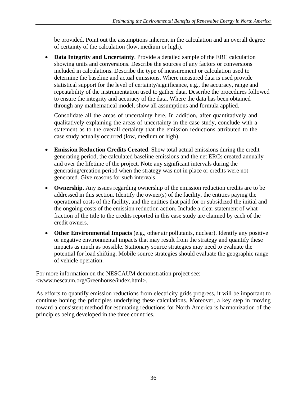be provided. Point out the assumptions inherent in the calculation and an overall degree of certainty of the calculation (low, medium or high).

• **Data Integrity and Uncertainty**. Provide a detailed sample of the ERC calculation showing units and conversions. Describe the sources of any factors or conversions included in calculations. Describe the type of measurement or calculation used to determine the baseline and actual emissions. Where measured data is used provide statistical support for the level of certainty/significance, e.g., the accuracy, range and repeatability of the instrumentation used to gather data. Describe the procedures followed to ensure the integrity and accuracy of the data. Where the data has been obtained through any mathematical model, show all assumptions and formula applied.

Consolidate all the areas of uncertainty here. In addition, after quantitatively and qualitatively explaining the areas of uncertainty in the case study, conclude with a statement as to the overall certainty that the emission reductions attributed to the case study actually occurred (low, medium or high).

- **Emission Reduction Credits Created**. Show total actual emissions during the credit generating period, the calculated baseline emissions and the net ERCs created annually and over the lifetime of the project. Note any significant intervals during the generating/creation period when the strategy was not in place or credits were not generated. Give reasons for such intervals.
- **Ownership.** Any issues regarding ownership of the emission reduction credits are to be addressed in this section. Identify the owner(s) of the facility, the entities paying the operational costs of the facility, and the entities that paid for or subsidized the initial and the ongoing costs of the emission reduction action. Include a clear statement of what fraction of the title to the credits reported in this case study are claimed by each of the credit owners.
- **Other Environmental Impacts** (e.g., other air pollutants, nuclear). Identify any positive or negative environmental impacts that may result from the strategy and quantify these impacts as much as possible. Stationary source strategies may need to evaluate the potential for load shifting. Mobile source strategies should evaluate the geographic range of vehicle operation.

For more information on the NESCAUM demonstration project see: <www.nescaum.org/Greenhouse/index.html>.

As efforts to quantify emission reductions from electricity grids progress, it will be important to continue honing the principles underlying these calculations. Moreover, a key step in moving toward a consistent method for estimating reductions for North America is harmonization of the principles being developed in the three countries.